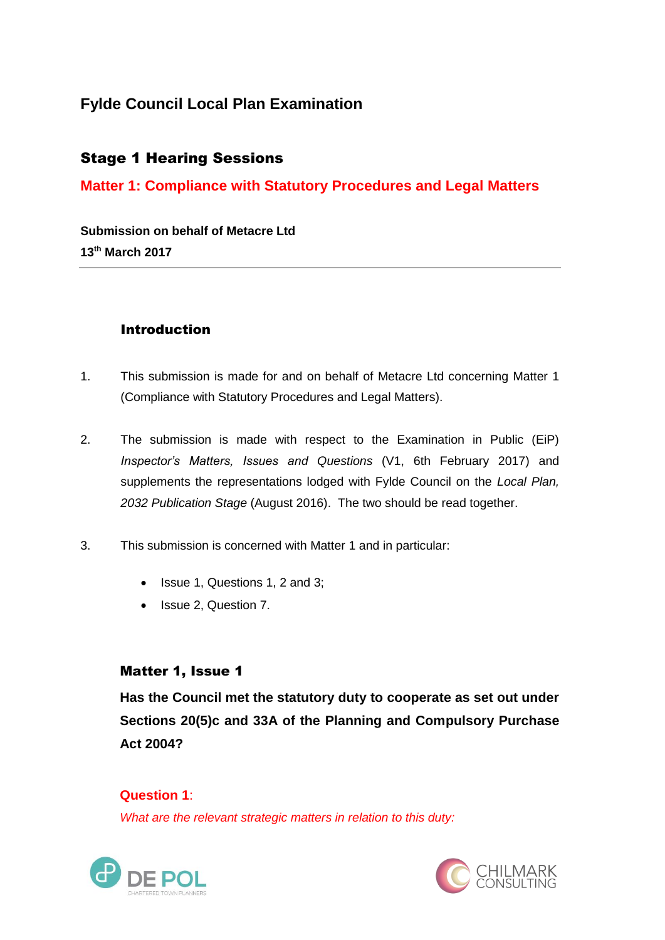# **Fylde Council Local Plan Examination**

## Stage 1 Hearing Sessions

## **Matter 1: Compliance with Statutory Procedures and Legal Matters**

**Submission on behalf of Metacre Ltd 13th March 2017**

#### Introduction

- 1. This submission is made for and on behalf of Metacre Ltd concerning Matter 1 (Compliance with Statutory Procedures and Legal Matters).
- 2. The submission is made with respect to the Examination in Public (EiP) *Inspector's Matters, Issues and Questions* (V1, 6th February 2017) and supplements the representations lodged with Fylde Council on the *Local Plan, 2032 Publication Stage* (August 2016). The two should be read together.
- 3. This submission is concerned with Matter 1 and in particular:
	- Issue 1, Questions 1, 2 and 3:
	- Issue 2, Question 7.

#### Matter 1, Issue 1

**Has the Council met the statutory duty to cooperate as set out under Sections 20(5)c and 33A of the Planning and Compulsory Purchase Act 2004?**

**Question 1**: *What are the relevant strategic matters in relation to this duty:*



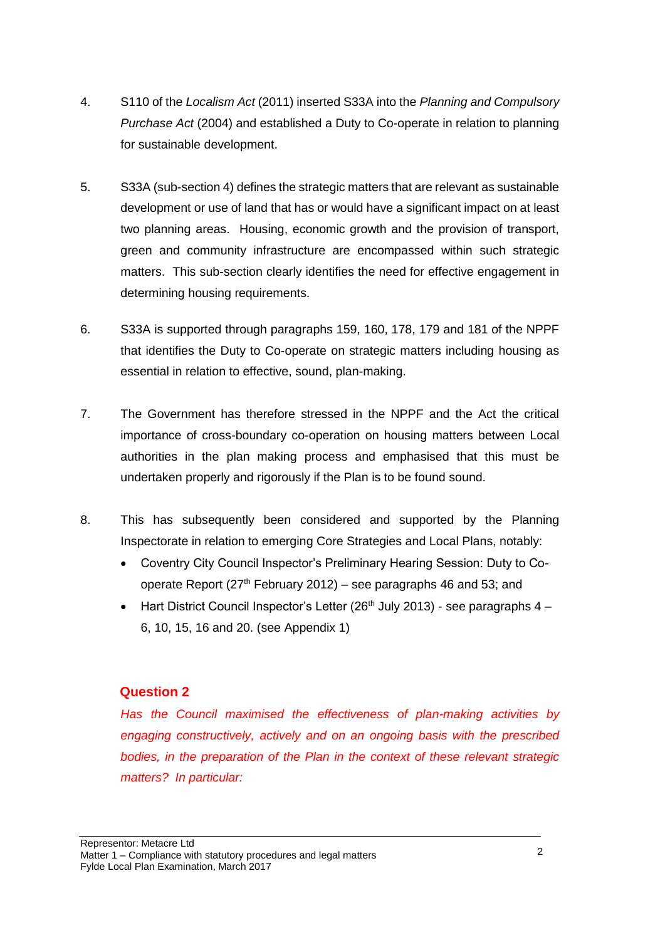- 4. S110 of the *Localism Act* (2011) inserted S33A into the *Planning and Compulsory Purchase Act* (2004) and established a Duty to Co-operate in relation to planning for sustainable development.
- 5. S33A (sub-section 4) defines the strategic matters that are relevant as sustainable development or use of land that has or would have a significant impact on at least two planning areas. Housing, economic growth and the provision of transport, green and community infrastructure are encompassed within such strategic matters. This sub-section clearly identifies the need for effective engagement in determining housing requirements.
- 6. S33A is supported through paragraphs 159, 160, 178, 179 and 181 of the NPPF that identifies the Duty to Co-operate on strategic matters including housing as essential in relation to effective, sound, plan-making.
- 7. The Government has therefore stressed in the NPPF and the Act the critical importance of cross-boundary co-operation on housing matters between Local authorities in the plan making process and emphasised that this must be undertaken properly and rigorously if the Plan is to be found sound.
- 8. This has subsequently been considered and supported by the Planning Inspectorate in relation to emerging Core Strategies and Local Plans, notably:
	- Coventry City Council Inspector's Preliminary Hearing Session: Duty to Cooperate Report ( $27<sup>th</sup>$  February 2012) – see paragraphs 46 and 53; and
	- Hart District Council Inspector's Letter (26<sup>th</sup> July 2013) see paragraphs  $4 -$ 6, 10, 15, 16 and 20. (see Appendix 1)

#### **Question 2**

*Has the Council maximised the effectiveness of plan-making activities by engaging constructively, actively and on an ongoing basis with the prescribed bodies, in the preparation of the Plan in the context of these relevant strategic matters? In particular:*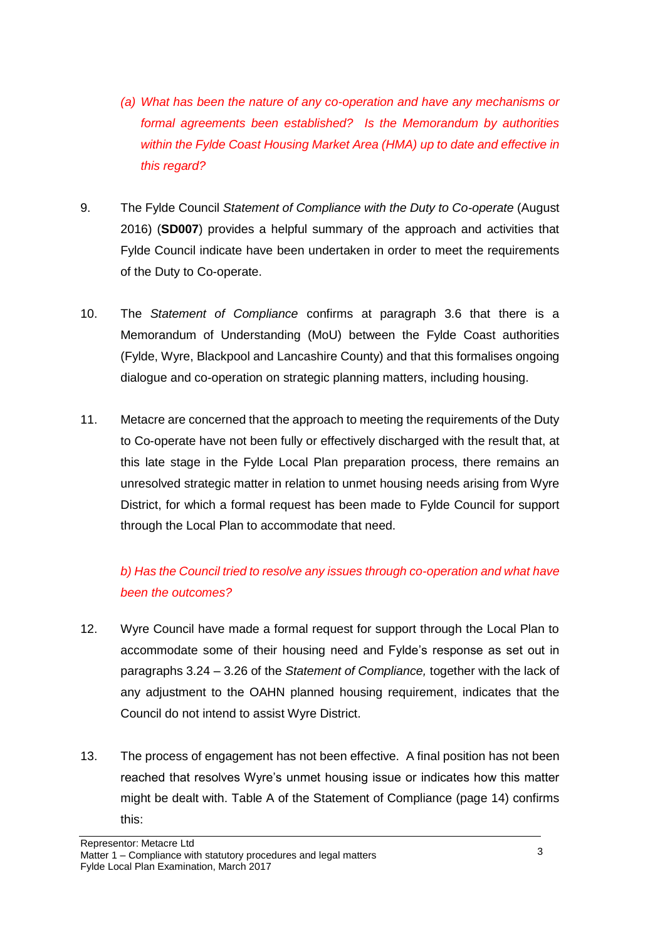- *(a) What has been the nature of any co-operation and have any mechanisms or formal agreements been established? Is the Memorandum by authorities within the Fylde Coast Housing Market Area (HMA) up to date and effective in this regard?*
- 9. The Fylde Council *Statement of Compliance with the Duty to Co-operate* (August 2016) (**SD007**) provides a helpful summary of the approach and activities that Fylde Council indicate have been undertaken in order to meet the requirements of the Duty to Co-operate.
- 10. The *Statement of Compliance* confirms at paragraph 3.6 that there is a Memorandum of Understanding (MoU) between the Fylde Coast authorities (Fylde, Wyre, Blackpool and Lancashire County) and that this formalises ongoing dialogue and co-operation on strategic planning matters, including housing.
- 11. Metacre are concerned that the approach to meeting the requirements of the Duty to Co-operate have not been fully or effectively discharged with the result that, at this late stage in the Fylde Local Plan preparation process, there remains an unresolved strategic matter in relation to unmet housing needs arising from Wyre District, for which a formal request has been made to Fylde Council for support through the Local Plan to accommodate that need.

# *b) Has the Council tried to resolve any issues through co-operation and what have been the outcomes?*

- 12. Wyre Council have made a formal request for support through the Local Plan to accommodate some of their housing need and Fylde's response as set out in paragraphs 3.24 – 3.26 of the *Statement of Compliance,* together with the lack of any adjustment to the OAHN planned housing requirement, indicates that the Council do not intend to assist Wyre District.
- 13. The process of engagement has not been effective. A final position has not been reached that resolves Wyre's unmet housing issue or indicates how this matter might be dealt with. Table A of the Statement of Compliance (page 14) confirms this: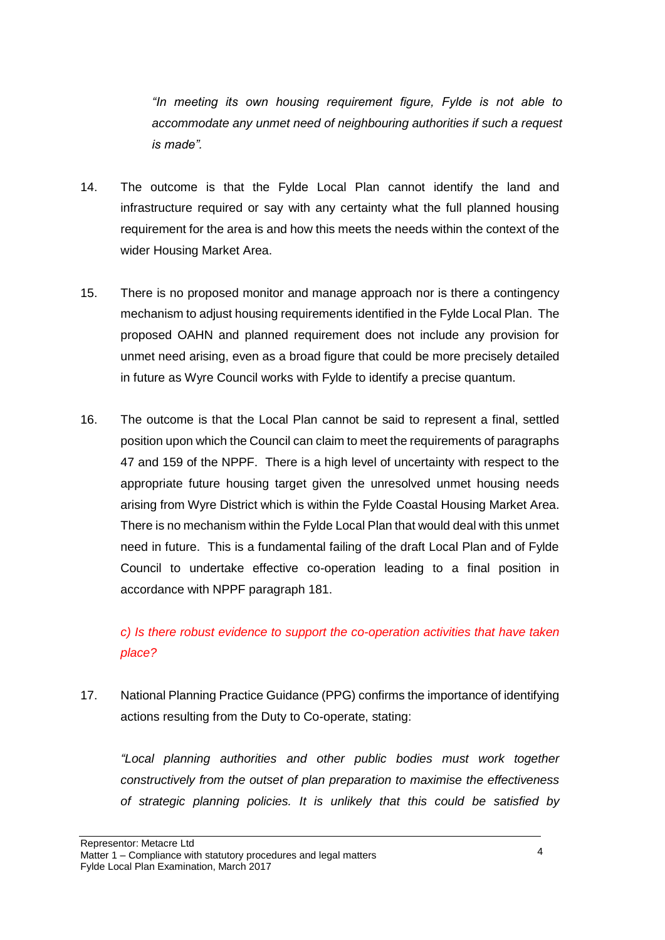*"In meeting its own housing requirement figure, Fylde is not able to accommodate any unmet need of neighbouring authorities if such a request is made".*

- 14. The outcome is that the Fylde Local Plan cannot identify the land and infrastructure required or say with any certainty what the full planned housing requirement for the area is and how this meets the needs within the context of the wider Housing Market Area.
- 15. There is no proposed monitor and manage approach nor is there a contingency mechanism to adjust housing requirements identified in the Fylde Local Plan. The proposed OAHN and planned requirement does not include any provision for unmet need arising, even as a broad figure that could be more precisely detailed in future as Wyre Council works with Fylde to identify a precise quantum.
- 16. The outcome is that the Local Plan cannot be said to represent a final, settled position upon which the Council can claim to meet the requirements of paragraphs 47 and 159 of the NPPF. There is a high level of uncertainty with respect to the appropriate future housing target given the unresolved unmet housing needs arising from Wyre District which is within the Fylde Coastal Housing Market Area. There is no mechanism within the Fylde Local Plan that would deal with this unmet need in future. This is a fundamental failing of the draft Local Plan and of Fylde Council to undertake effective co-operation leading to a final position in accordance with NPPF paragraph 181.

# *c) Is there robust evidence to support the co-operation activities that have taken place?*

17. National Planning Practice Guidance (PPG) confirms the importance of identifying actions resulting from the Duty to Co-operate, stating:

*"Local planning authorities and other public bodies must work together constructively from the outset of plan preparation to maximise the effectiveness of strategic planning policies. It is unlikely that this could be satisfied by*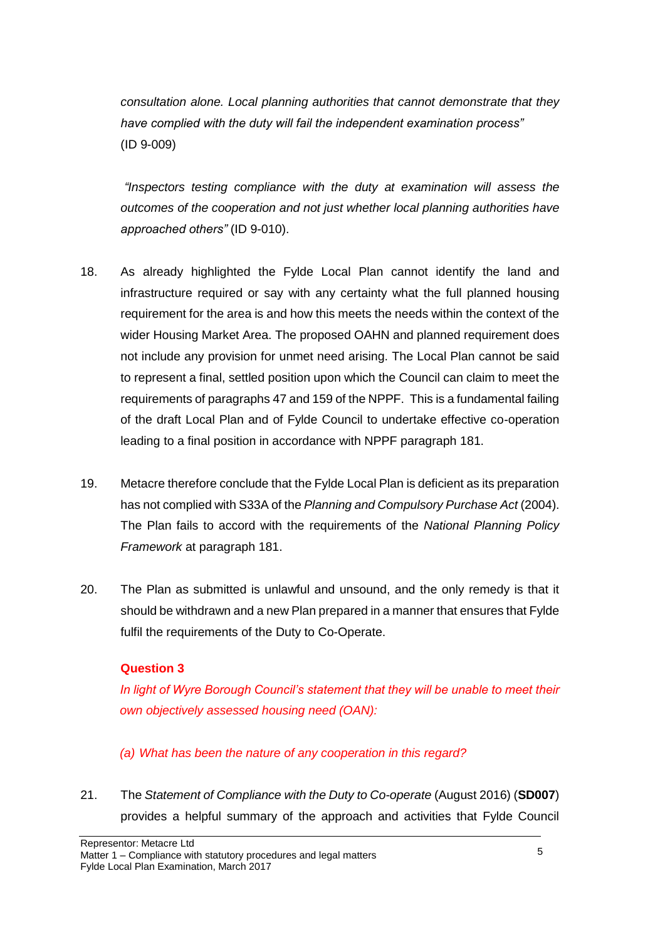*consultation alone. Local planning authorities that cannot demonstrate that they have complied with the duty will fail the independent examination process"* (ID 9-009)

*"Inspectors testing compliance with the duty at examination will assess the outcomes of the cooperation and not just whether local planning authorities have approached others"* (ID 9-010).

- 18. As already highlighted the Fylde Local Plan cannot identify the land and infrastructure required or say with any certainty what the full planned housing requirement for the area is and how this meets the needs within the context of the wider Housing Market Area. The proposed OAHN and planned requirement does not include any provision for unmet need arising. The Local Plan cannot be said to represent a final, settled position upon which the Council can claim to meet the requirements of paragraphs 47 and 159 of the NPPF. This is a fundamental failing of the draft Local Plan and of Fylde Council to undertake effective co-operation leading to a final position in accordance with NPPF paragraph 181.
- 19. Metacre therefore conclude that the Fylde Local Plan is deficient as its preparation has not complied with S33A of the *Planning and Compulsory Purchase Act* (2004). The Plan fails to accord with the requirements of the *National Planning Policy Framework* at paragraph 181.
- 20. The Plan as submitted is unlawful and unsound, and the only remedy is that it should be withdrawn and a new Plan prepared in a manner that ensures that Fylde fulfil the requirements of the Duty to Co-Operate.

#### **Question 3**

*In light of Wyre Borough Council's statement that they will be unable to meet their own objectively assessed housing need (OAN):*

#### *(a) What has been the nature of any cooperation in this regard?*

21. The *Statement of Compliance with the Duty to Co-operate* (August 2016) (**SD007**) provides a helpful summary of the approach and activities that Fylde Council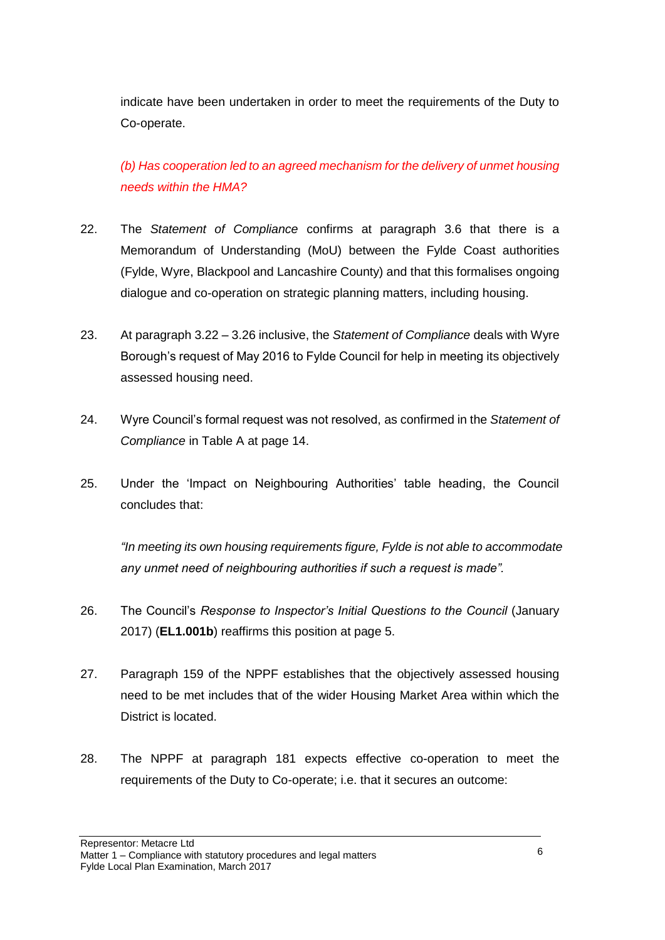indicate have been undertaken in order to meet the requirements of the Duty to Co-operate.

*(b) Has cooperation led to an agreed mechanism for the delivery of unmet housing needs within the HMA?*

- 22. The *Statement of Compliance* confirms at paragraph 3.6 that there is a Memorandum of Understanding (MoU) between the Fylde Coast authorities (Fylde, Wyre, Blackpool and Lancashire County) and that this formalises ongoing dialogue and co-operation on strategic planning matters, including housing.
- 23. At paragraph 3.22 3.26 inclusive, the *Statement of Compliance* deals with Wyre Borough's request of May 2016 to Fylde Council for help in meeting its objectively assessed housing need.
- 24. Wyre Council's formal request was not resolved, as confirmed in the *Statement of Compliance* in Table A at page 14.
- 25. Under the 'Impact on Neighbouring Authorities' table heading, the Council concludes that:

*"In meeting its own housing requirements figure, Fylde is not able to accommodate any unmet need of neighbouring authorities if such a request is made".*

- 26. The Council's *Response to Inspector's Initial Questions to the Council* (January 2017) (**EL1.001b**) reaffirms this position at page 5.
- 27. Paragraph 159 of the NPPF establishes that the objectively assessed housing need to be met includes that of the wider Housing Market Area within which the District is located.
- 28. The NPPF at paragraph 181 expects effective co-operation to meet the requirements of the Duty to Co-operate; i.e. that it secures an outcome: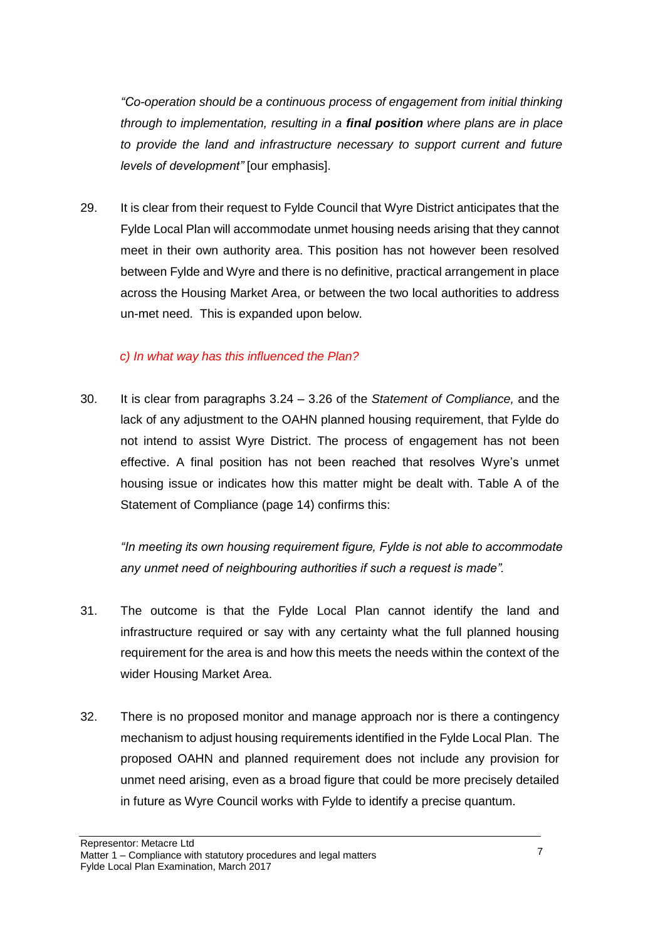*"Co-operation should be a continuous process of engagement from initial thinking through to implementation, resulting in a final position where plans are in place to provide the land and infrastructure necessary to support current and future levels of development"* [our emphasis].

29. It is clear from their request to Fylde Council that Wyre District anticipates that the Fylde Local Plan will accommodate unmet housing needs arising that they cannot meet in their own authority area. This position has not however been resolved between Fylde and Wyre and there is no definitive, practical arrangement in place across the Housing Market Area, or between the two local authorities to address un-met need. This is expanded upon below.

#### *c) In what way has this influenced the Plan?*

30. It is clear from paragraphs 3.24 – 3.26 of the *Statement of Compliance,* and the lack of any adjustment to the OAHN planned housing requirement, that Fylde do not intend to assist Wyre District. The process of engagement has not been effective. A final position has not been reached that resolves Wyre's unmet housing issue or indicates how this matter might be dealt with. Table A of the Statement of Compliance (page 14) confirms this:

*"In meeting its own housing requirement figure, Fylde is not able to accommodate any unmet need of neighbouring authorities if such a request is made".*

- 31. The outcome is that the Fylde Local Plan cannot identify the land and infrastructure required or say with any certainty what the full planned housing requirement for the area is and how this meets the needs within the context of the wider Housing Market Area.
- 32. There is no proposed monitor and manage approach nor is there a contingency mechanism to adjust housing requirements identified in the Fylde Local Plan. The proposed OAHN and planned requirement does not include any provision for unmet need arising, even as a broad figure that could be more precisely detailed in future as Wyre Council works with Fylde to identify a precise quantum.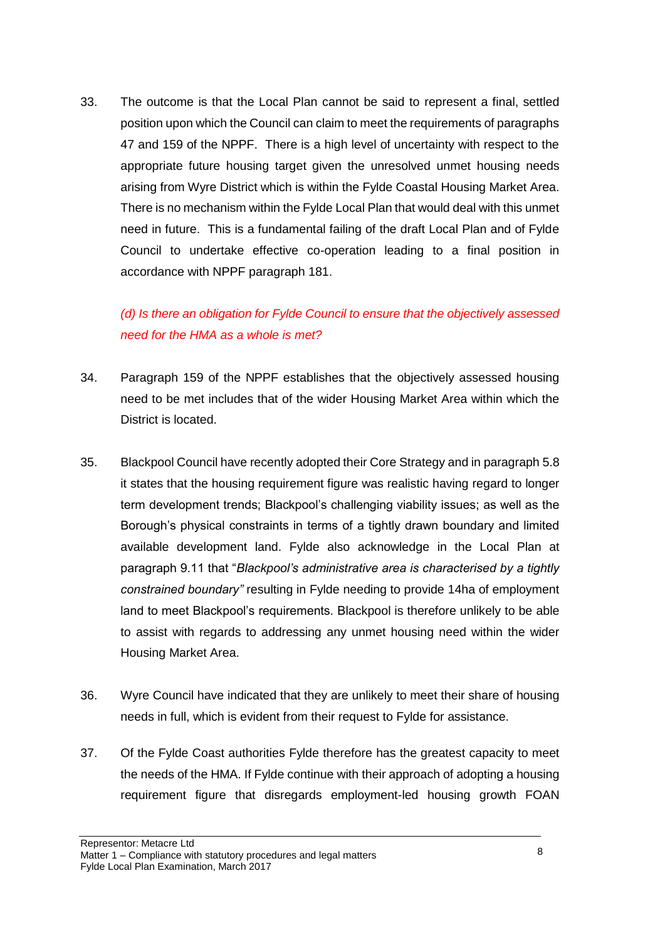33. The outcome is that the Local Plan cannot be said to represent a final, settled position upon which the Council can claim to meet the requirements of paragraphs 47 and 159 of the NPPF. There is a high level of uncertainty with respect to the appropriate future housing target given the unresolved unmet housing needs arising from Wyre District which is within the Fylde Coastal Housing Market Area. There is no mechanism within the Fylde Local Plan that would deal with this unmet need in future. This is a fundamental failing of the draft Local Plan and of Fylde Council to undertake effective co-operation leading to a final position in accordance with NPPF paragraph 181.

# *(d) Is there an obligation for Fylde Council to ensure that the objectively assessed need for the HMA as a whole is met?*

- 34. Paragraph 159 of the NPPF establishes that the objectively assessed housing need to be met includes that of the wider Housing Market Area within which the District is located.
- 35. Blackpool Council have recently adopted their Core Strategy and in paragraph 5.8 it states that the housing requirement figure was realistic having regard to longer term development trends; Blackpool's challenging viability issues; as well as the Borough's physical constraints in terms of a tightly drawn boundary and limited available development land. Fylde also acknowledge in the Local Plan at paragraph 9.11 that "*Blackpool's administrative area is characterised by a tightly constrained boundary"* resulting in Fylde needing to provide 14ha of employment land to meet Blackpool's requirements. Blackpool is therefore unlikely to be able to assist with regards to addressing any unmet housing need within the wider Housing Market Area.
- 36. Wyre Council have indicated that they are unlikely to meet their share of housing needs in full, which is evident from their request to Fylde for assistance.
- 37. Of the Fylde Coast authorities Fylde therefore has the greatest capacity to meet the needs of the HMA. If Fylde continue with their approach of adopting a housing requirement figure that disregards employment-led housing growth FOAN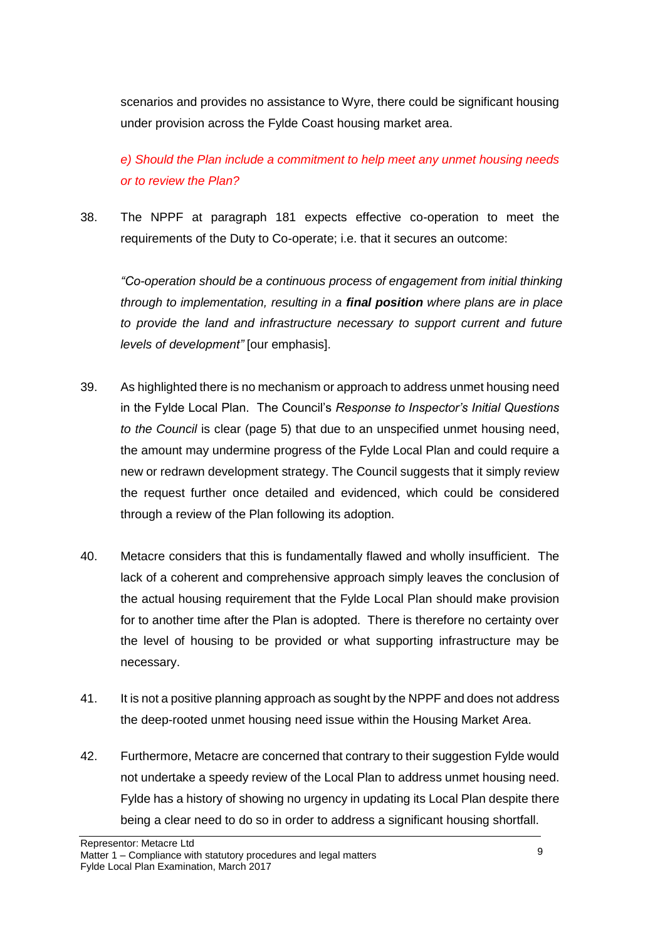scenarios and provides no assistance to Wyre, there could be significant housing under provision across the Fylde Coast housing market area.

*e) Should the Plan include a commitment to help meet any unmet housing needs or to review the Plan?* 

38. The NPPF at paragraph 181 expects effective co-operation to meet the requirements of the Duty to Co-operate; i.e. that it secures an outcome:

*"Co-operation should be a continuous process of engagement from initial thinking through to implementation, resulting in a final position where plans are in place to provide the land and infrastructure necessary to support current and future levels of development"* [our emphasis].

- 39. As highlighted there is no mechanism or approach to address unmet housing need in the Fylde Local Plan. The Council's *Response to Inspector's Initial Questions to the Council* is clear (page 5) that due to an unspecified unmet housing need, the amount may undermine progress of the Fylde Local Plan and could require a new or redrawn development strategy. The Council suggests that it simply review the request further once detailed and evidenced, which could be considered through a review of the Plan following its adoption.
- 40. Metacre considers that this is fundamentally flawed and wholly insufficient. The lack of a coherent and comprehensive approach simply leaves the conclusion of the actual housing requirement that the Fylde Local Plan should make provision for to another time after the Plan is adopted. There is therefore no certainty over the level of housing to be provided or what supporting infrastructure may be necessary.
- 41. It is not a positive planning approach as sought by the NPPF and does not address the deep-rooted unmet housing need issue within the Housing Market Area.
- 42. Furthermore, Metacre are concerned that contrary to their suggestion Fylde would not undertake a speedy review of the Local Plan to address unmet housing need. Fylde has a history of showing no urgency in updating its Local Plan despite there being a clear need to do so in order to address a significant housing shortfall.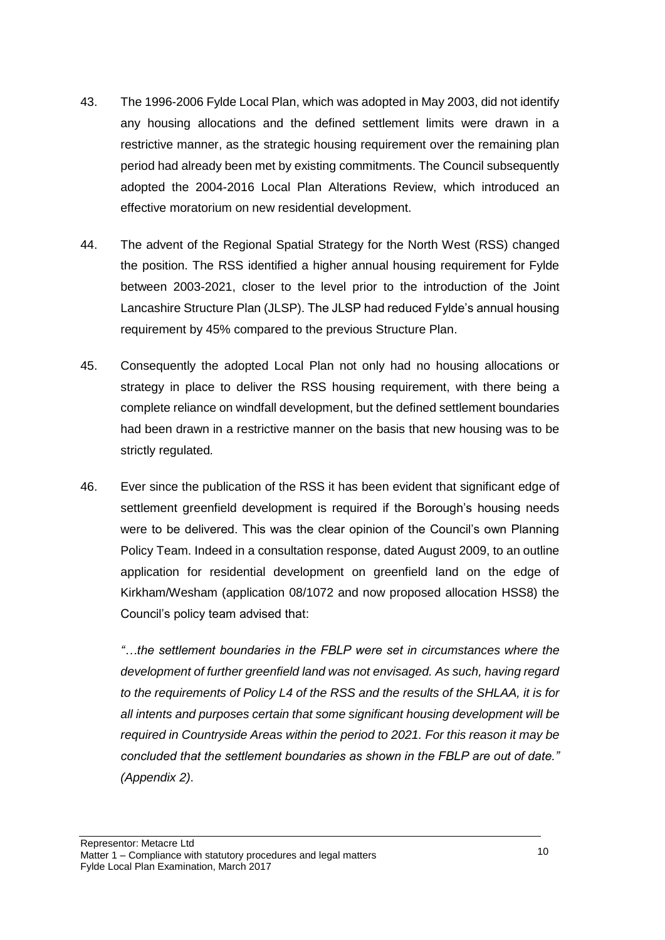- 43. The 1996-2006 Fylde Local Plan, which was adopted in May 2003, did not identify any housing allocations and the defined settlement limits were drawn in a restrictive manner, as the strategic housing requirement over the remaining plan period had already been met by existing commitments. The Council subsequently adopted the 2004-2016 Local Plan Alterations Review, which introduced an effective moratorium on new residential development.
- 44. The advent of the Regional Spatial Strategy for the North West (RSS) changed the position. The RSS identified a higher annual housing requirement for Fylde between 2003-2021, closer to the level prior to the introduction of the Joint Lancashire Structure Plan (JLSP). The JLSP had reduced Fylde's annual housing requirement by 45% compared to the previous Structure Plan.
- 45. Consequently the adopted Local Plan not only had no housing allocations or strategy in place to deliver the RSS housing requirement, with there being a complete reliance on windfall development, but the defined settlement boundaries had been drawn in a restrictive manner on the basis that new housing was to be strictly regulated*.*
- 46. Ever since the publication of the RSS it has been evident that significant edge of settlement greenfield development is required if the Borough's housing needs were to be delivered. This was the clear opinion of the Council's own Planning Policy Team. Indeed in a consultation response, dated August 2009, to an outline application for residential development on greenfield land on the edge of Kirkham/Wesham (application 08/1072 and now proposed allocation HSS8) the Council's policy team advised that:

*"…the settlement boundaries in the FBLP were set in circumstances where the development of further greenfield land was not envisaged. As such, having regard to the requirements of Policy L4 of the RSS and the results of the SHLAA, it is for all intents and purposes certain that some significant housing development will be required in Countryside Areas within the period to 2021. For this reason it may be concluded that the settlement boundaries as shown in the FBLP are out of date." (Appendix 2)*.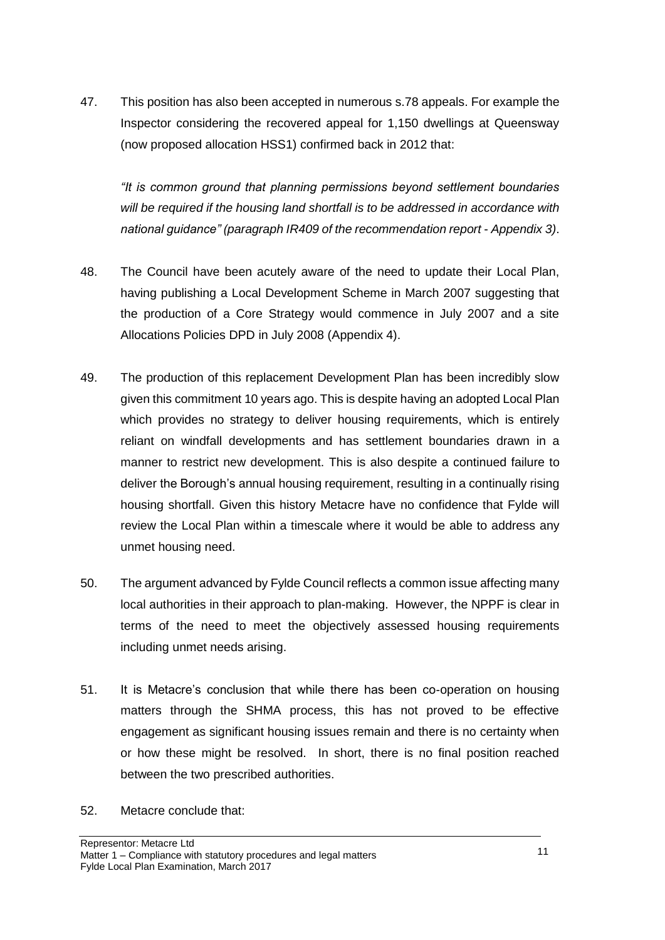47. This position has also been accepted in numerous s.78 appeals. For example the Inspector considering the recovered appeal for 1,150 dwellings at Queensway (now proposed allocation HSS1) confirmed back in 2012 that:

*"It is common ground that planning permissions beyond settlement boundaries will be required if the housing land shortfall is to be addressed in accordance with national guidance" (paragraph IR409 of the recommendation report* - *Appendix 3)*.

- 48. The Council have been acutely aware of the need to update their Local Plan, having publishing a Local Development Scheme in March 2007 suggesting that the production of a Core Strategy would commence in July 2007 and a site Allocations Policies DPD in July 2008 (Appendix 4).
- 49. The production of this replacement Development Plan has been incredibly slow given this commitment 10 years ago. This is despite having an adopted Local Plan which provides no strategy to deliver housing requirements, which is entirely reliant on windfall developments and has settlement boundaries drawn in a manner to restrict new development. This is also despite a continued failure to deliver the Borough's annual housing requirement, resulting in a continually rising housing shortfall. Given this history Metacre have no confidence that Fylde will review the Local Plan within a timescale where it would be able to address any unmet housing need.
- 50. The argument advanced by Fylde Council reflects a common issue affecting many local authorities in their approach to plan-making. However, the NPPF is clear in terms of the need to meet the objectively assessed housing requirements including unmet needs arising.
- 51. It is Metacre's conclusion that while there has been co-operation on housing matters through the SHMA process, this has not proved to be effective engagement as significant housing issues remain and there is no certainty when or how these might be resolved. In short, there is no final position reached between the two prescribed authorities.
- 52. Metacre conclude that: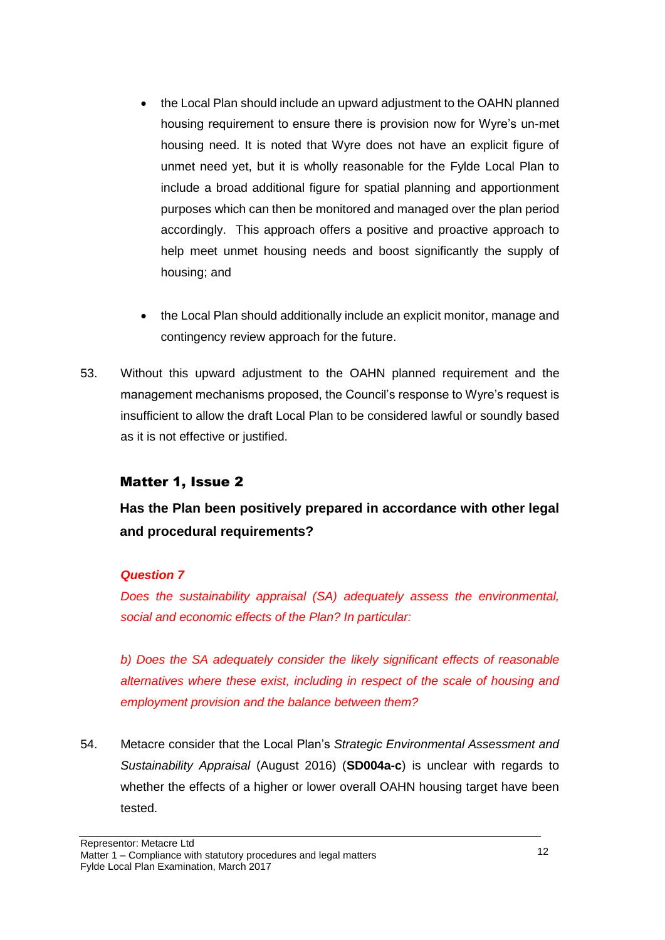- the Local Plan should include an upward adjustment to the OAHN planned housing requirement to ensure there is provision now for Wyre's un-met housing need. It is noted that Wyre does not have an explicit figure of unmet need yet, but it is wholly reasonable for the Fylde Local Plan to include a broad additional figure for spatial planning and apportionment purposes which can then be monitored and managed over the plan period accordingly. This approach offers a positive and proactive approach to help meet unmet housing needs and boost significantly the supply of housing; and
- the Local Plan should additionally include an explicit monitor, manage and contingency review approach for the future.
- 53. Without this upward adjustment to the OAHN planned requirement and the management mechanisms proposed, the Council's response to Wyre's request is insufficient to allow the draft Local Plan to be considered lawful or soundly based as it is not effective or justified.

#### Matter 1, Issue 2

**Has the Plan been positively prepared in accordance with other legal and procedural requirements?**

#### *Question 7*

*Does the sustainability appraisal (SA) adequately assess the environmental, social and economic effects of the Plan? In particular:*

*b) Does the SA adequately consider the likely significant effects of reasonable alternatives where these exist, including in respect of the scale of housing and employment provision and the balance between them?*

54. Metacre consider that the Local Plan's *Strategic Environmental Assessment and Sustainability Appraisal* (August 2016) (**SD004a-c**) is unclear with regards to whether the effects of a higher or lower overall OAHN housing target have been tested.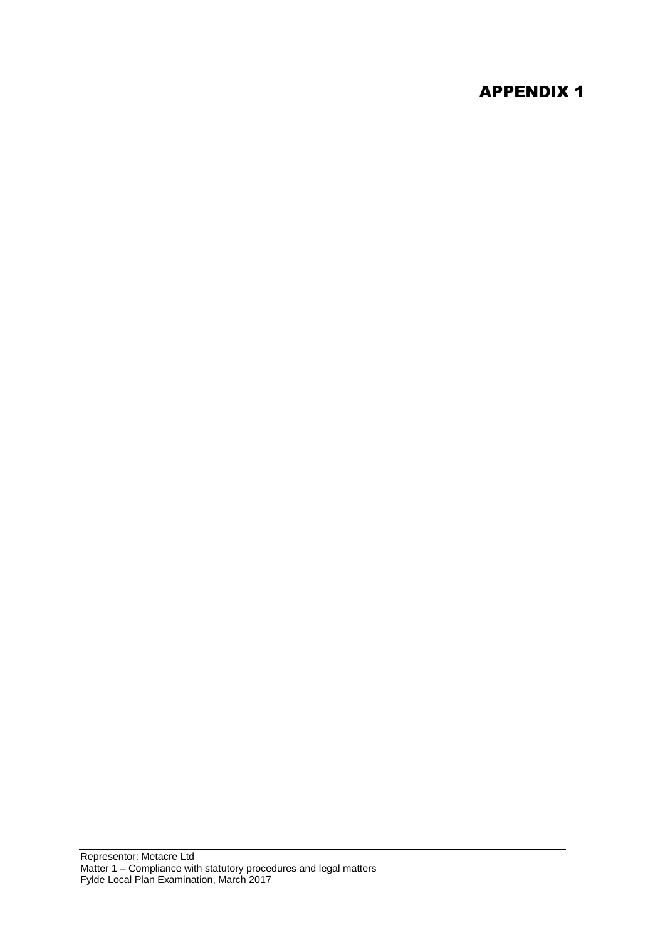# APPENDIX 1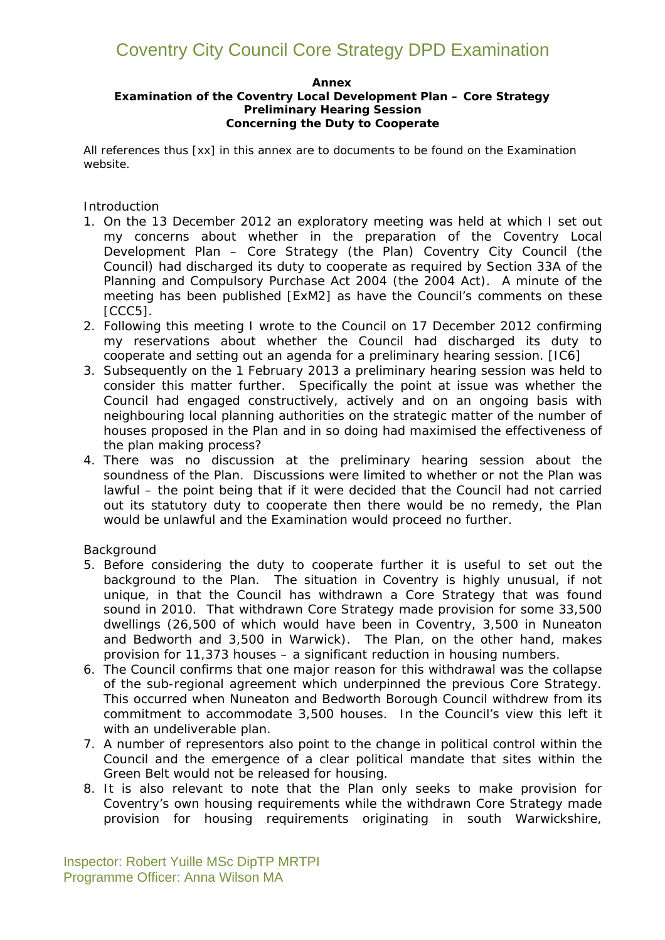#### **Annex**

#### **Examination of the Coventry Local Development Plan – Core Strategy Preliminary Hearing Session Concerning the Duty to Cooperate**

All references thus *[xx]* in this annex are to documents to be found on the Examination website.

#### *Introduction*

- 1. On the 13 December 2012 an exploratory meeting was held at which I set out my concerns about whether in the preparation of the Coventry Local Development Plan – Core Strategy (the Plan) Coventry City Council (the Council) had discharged its duty to cooperate as required by Section 33A of the Planning and Compulsory Purchase Act 2004 (the 2004 Act). A minute of the meeting has been published *[ExM2]* as have the Council's comments on these *[CCC5]*.
- 2. Following this meeting I wrote to the Council on 17 December 2012 confirming my reservations about whether the Council had discharged its duty to cooperate and setting out an agenda for a preliminary hearing session. *[IC6]*
- 3. Subsequently on the 1 February 2013 a preliminary hearing session was held to consider this matter further. Specifically the point at issue was whether the Council had engaged constructively, actively and on an ongoing basis with neighbouring local planning authorities on the strategic matter of the number of houses proposed in the Plan and in so doing had maximised the effectiveness of the plan making process?
- 4. There was no discussion at the preliminary hearing session about the soundness of the Plan. Discussions were limited to whether or not the Plan was lawful – the point being that if it were decided that the Council had not carried out its statutory duty to cooperate then there would be no remedy, the Plan would be unlawful and the Examination would proceed no further.

#### *Background*

- 5. Before considering the duty to cooperate further it is useful to set out the background to the Plan. The situation in Coventry is highly unusual, if not unique, in that the Council has withdrawn a Core Strategy that was found sound in 2010. That withdrawn Core Strategy made provision for some 33,500 dwellings (26,500 of which would have been in Coventry, 3,500 in Nuneaton and Bedworth and 3,500 in Warwick). The Plan, on the other hand, makes provision for 11,373 houses – a significant reduction in housing numbers.
- 6. The Council confirms that one major reason for this withdrawal was the collapse of the sub-regional agreement which underpinned the previous Core Strategy. This occurred when Nuneaton and Bedworth Borough Council withdrew from its commitment to accommodate 3,500 houses. In the Council's view this left it with an undeliverable plan.
- 7. A number of representors also point to the change in political control within the Council and the emergence of a clear political mandate that sites within the Green Belt would not be released for housing.
- 8. It is also relevant to note that the Plan only seeks to make provision for Coventry's own housing requirements while the withdrawn Core Strategy made provision for housing requirements originating in south Warwickshire,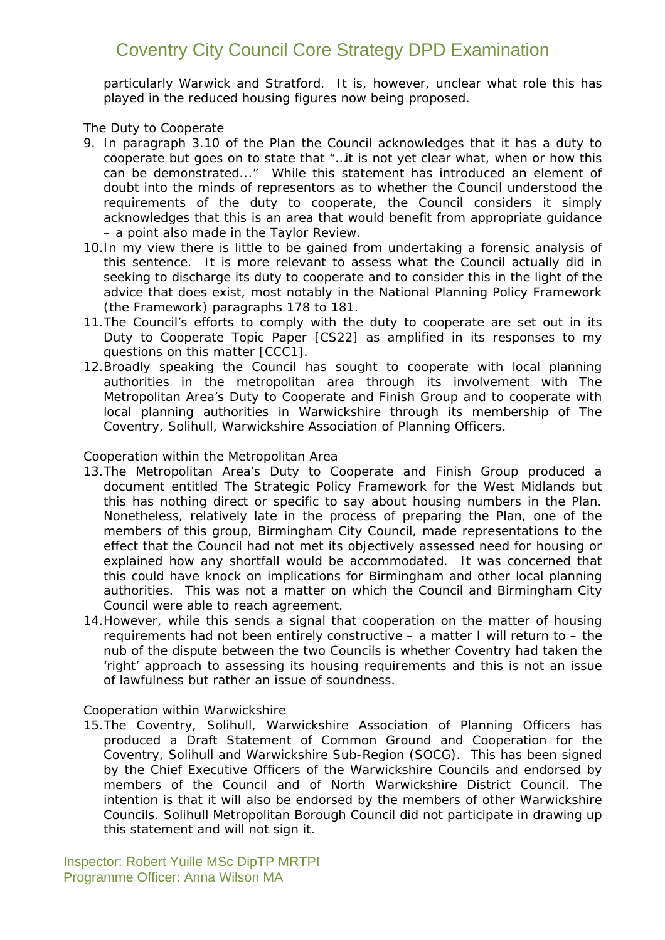particularly Warwick and Stratford. It is, however, unclear what role this has played in the reduced housing figures now being proposed.

#### *The Duty to Cooperate*

- 9. In paragraph 3.10 of the Plan the Council acknowledges that it has a duty to cooperate but goes on to state that "…*it is not yet clear what, when or how this can be demonstrated*..." While this statement has introduced an element of doubt into the minds of representors as to whether the Council understood the requirements of the duty to cooperate, the Council considers it simply acknowledges that this is an area that would benefit from appropriate guidance – a point also made in the Taylor Review.
- 10.In my view there is little to be gained from undertaking a forensic analysis of this sentence. It is more relevant to assess what the Council actually did in seeking to discharge its duty to cooperate and to consider this in the light of the advice that does exist, most notably in the National Planning Policy Framework (the Framework) paragraphs 178 to 181.
- 11.The Council's efforts to comply with the duty to cooperate are set out in its *Duty to Cooperate Topic Paper [CS22]* as amplified in its responses to my questions on this matter *[CCC1]*.
- 12.Broadly speaking the Council has sought to cooperate with local planning authorities in the metropolitan area through its involvement with *The Metropolitan Area's Duty to Cooperate and Finish Group* and to cooperate with local planning authorities in Warwickshire through its membership of *The Coventry, Solihull, Warwickshire Association of Planning Officers.*

#### *Cooperation within the Metropolitan Area*

- 13.*The Metropolitan Area's Duty to Cooperate and Finish Group* produced a document entitled *The Strategic Policy Framework for the West Midlands* but this has nothing direct or specific to say about housing numbers in the Plan. Nonetheless, relatively late in the process of preparing the Plan, one of the members of this group, Birmingham City Council, made representations to the effect that the Council had not met its objectively assessed need for housing or explained how any shortfall would be accommodated. It was concerned that this could have knock on implications for Birmingham and other local planning authorities. This was not a matter on which the Council and Birmingham City Council were able to reach agreement.
- 14.However, while this sends a signal that cooperation on the matter of housing requirements had not been entirely constructive – a matter I will return to – the nub of the dispute between the two Councils is whether Coventry had taken the 'right' approach to assessing its housing requirements and this is not an issue of lawfulness but rather an issue of soundness.

#### *Cooperation within Warwickshire*

15.The *Coventry, Solihull, Warwickshire Association of Planning Officers* has produced a *Draft Statement of Common Ground and Cooperation for the Coventry, Solihull and Warwickshire Sub-Region (SOCG).* This has been signed by the Chief Executive Officers of the Warwickshire Councils and endorsed by members of the Council and of North Warwickshire District Council. The intention is that it will also be endorsed by the members of other Warwickshire Councils. Solihull Metropolitan Borough Council did not participate in drawing up this statement and will not sign it.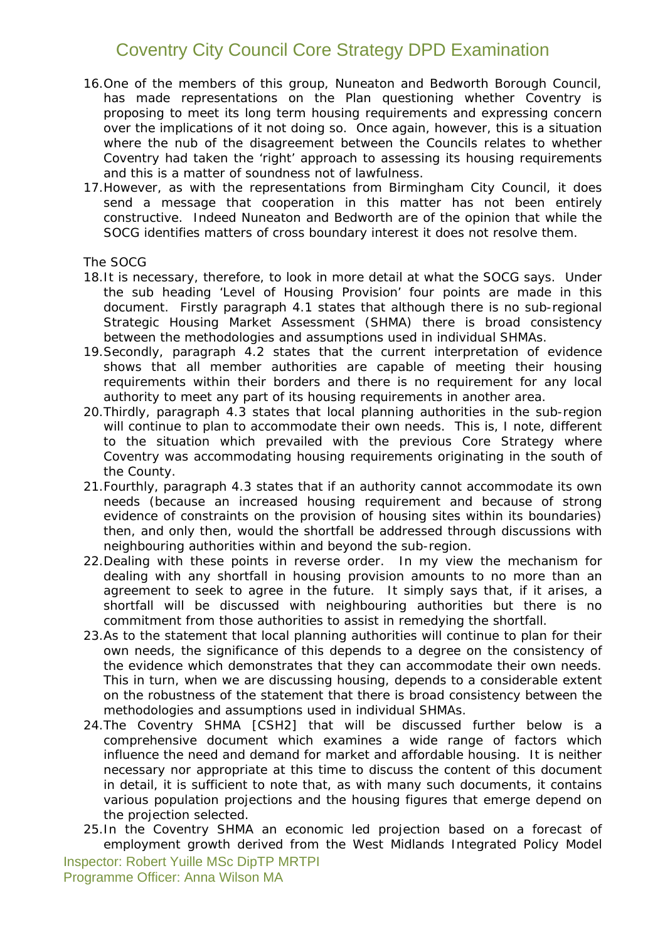- 16.One of the members of this group, Nuneaton and Bedworth Borough Council, has made representations on the Plan questioning whether Coventry is proposing to meet its long term housing requirements and expressing concern over the implications of it not doing so. Once again, however, this is a situation where the nub of the disagreement between the Councils relates to whether Coventry had taken the 'right' approach to assessing its housing requirements and this is a matter of soundness not of lawfulness.
- 17.However, as with the representations from Birmingham City Council, it does send a message that cooperation in this matter has not been entirely constructive. Indeed Nuneaton and Bedworth are of the opinion that while the SOCG identifies matters of cross boundary interest it does not resolve them.

#### *The SOCG*

- 18.It is necessary, therefore, to look in more detail at what the SOCG says. Under the sub heading '*Level of Housing Provision*' four points are made in this document. Firstly paragraph 4.1 states that although there is no sub-regional Strategic Housing Market Assessment (SHMA) there is broad consistency between the methodologies and assumptions used in individual SHMAs.
- 19.Secondly, paragraph 4.2 states that the current interpretation of evidence shows that all member authorities are capable of meeting their housing requirements within their borders and there is no requirement for any local authority to meet any part of its housing requirements in another area.
- 20.Thirdly, paragraph 4.3 states that local planning authorities in the sub-region will continue to plan to accommodate their own needs. This is, I note, different to the situation which prevailed with the previous Core Strategy where Coventry was accommodating housing requirements originating in the south of the County.
- 21.Fourthly, paragraph 4.3 states that if an authority cannot accommodate its own needs (because an increased housing requirement and because of strong evidence of constraints on the provision of housing sites within its boundaries) then, and only then, would the shortfall be addressed through discussions with neighbouring authorities within and beyond the sub-region.
- 22.Dealing with these points in reverse order. In my view the mechanism for dealing with any shortfall in housing provision amounts to no more than an agreement to seek to agree in the future. It simply says that, if it arises, a shortfall will be discussed with neighbouring authorities but there is no commitment from those authorities to assist in remedying the shortfall.
- 23.As to the statement that local planning authorities will continue to plan for their own needs, the significance of this depends to a degree on the consistency of the evidence which demonstrates that they can accommodate their own needs. This in turn, when we are discussing housing, depends to a considerable extent on the robustness of the statement that there is broad consistency between the methodologies and assumptions used in individual SHMAs.
- 24.The Coventry SHMA *[CSH2]* that will be discussed further below is a comprehensive document which examines a wide range of factors which influence the need and demand for market and affordable housing. It is neither necessary nor appropriate at this time to discuss the content of this document in detail, it is sufficient to note that, as with many such documents, it contains various population projections and the housing figures that emerge depend on the projection selected.
- 25.In the Coventry SHMA an economic led projection based on a forecast of employment growth derived from the West Midlands Integrated Policy Model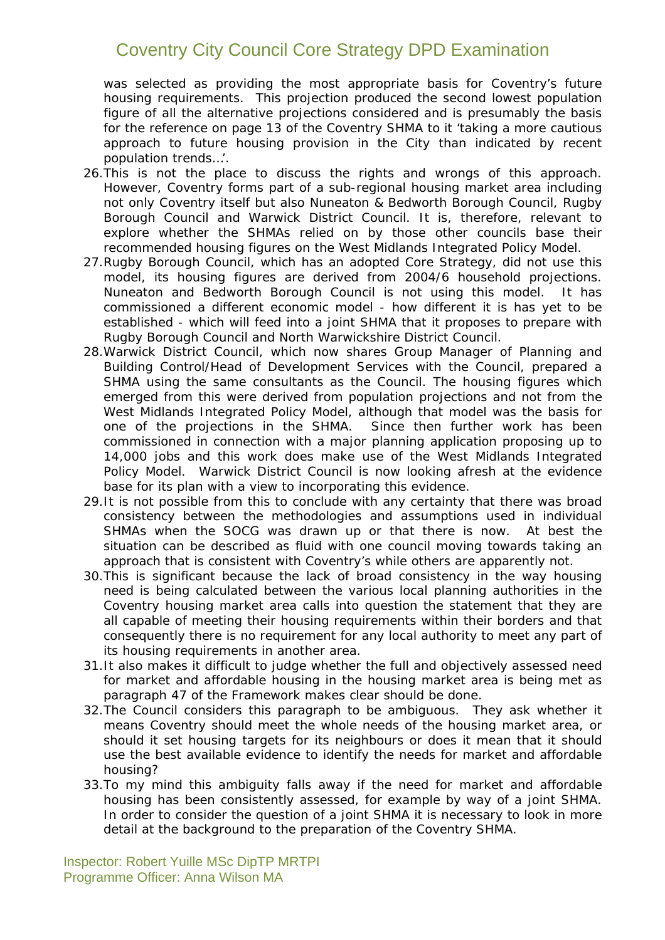was selected as providing the most appropriate basis for Coventry's future housing requirements. This projection produced the second lowest population figure of all the alternative projections considered and is presumably the basis for the reference on page 13 of the Coventry SHMA to it '*taking a more cautious*  approach to future housing provision in the City than indicated by recent *population trends…*'.

- 26.This is not the place to discuss the rights and wrongs of this approach. However, Coventry forms part of a sub-regional housing market area including not only Coventry itself but also Nuneaton & Bedworth Borough Council, Rugby Borough Council and Warwick District Council. It is, therefore, relevant to explore whether the SHMAs relied on by those other councils base their recommended housing figures on the West Midlands Integrated Policy Model.
- 27.Rugby Borough Council, which has an adopted Core Strategy, did not use this model, its housing figures are derived from 2004/6 household projections. Nuneaton and Bedworth Borough Council is not using this model. It has commissioned a different economic model - how different it is has yet to be established - which will feed into a joint SHMA that it proposes to prepare with Rugby Borough Council and North Warwickshire District Council.
- 28.Warwick District Council, which now shares Group Manager of Planning and Building Control/Head of Development Services with the Council, prepared a SHMA using the same consultants as the Council. The housing figures which emerged from this were derived from population projections and not from the West Midlands Integrated Policy Model, although that model was the basis for one of the projections in the SHMA. Since then further work has been commissioned in connection with a major planning application proposing up to 14,000 jobs and this work does make use of the West Midlands Integrated Policy Model. Warwick District Council is now looking afresh at the evidence base for its plan with a view to incorporating this evidence.
- 29.It is not possible from this to conclude with any certainty that there was broad consistency between the methodologies and assumptions used in individual SHMAs when the SOCG was drawn up or that there is now. At best the situation can be described as fluid with one council moving towards taking an approach that is consistent with Coventry's while others are apparently not.
- 30.This is significant because the lack of broad consistency in the way housing need is being calculated between the various local planning authorities in the Coventry housing market area calls into question the statement that they are all capable of meeting their housing requirements within their borders and that consequently there is no requirement for any local authority to meet any part of its housing requirements in another area.
- 31.It also makes it difficult to judge whether the full and objectively assessed need for market and affordable housing in the housing market area is being met as paragraph 47 of the Framework makes clear should be done.
- 32.The Council considers this paragraph to be ambiguous. They ask whether it means Coventry should meet the whole needs of the housing market area, or should it set housing targets for its neighbours or does it mean that it should use the best available evidence to identify the needs for market and affordable housing?
- 33.To my mind this ambiguity falls away if the need for market and affordable housing has been consistently assessed, for example by way of a joint SHMA. In order to consider the question of a joint SHMA it is necessary to look in more detail at the background to the preparation of the Coventry SHMA.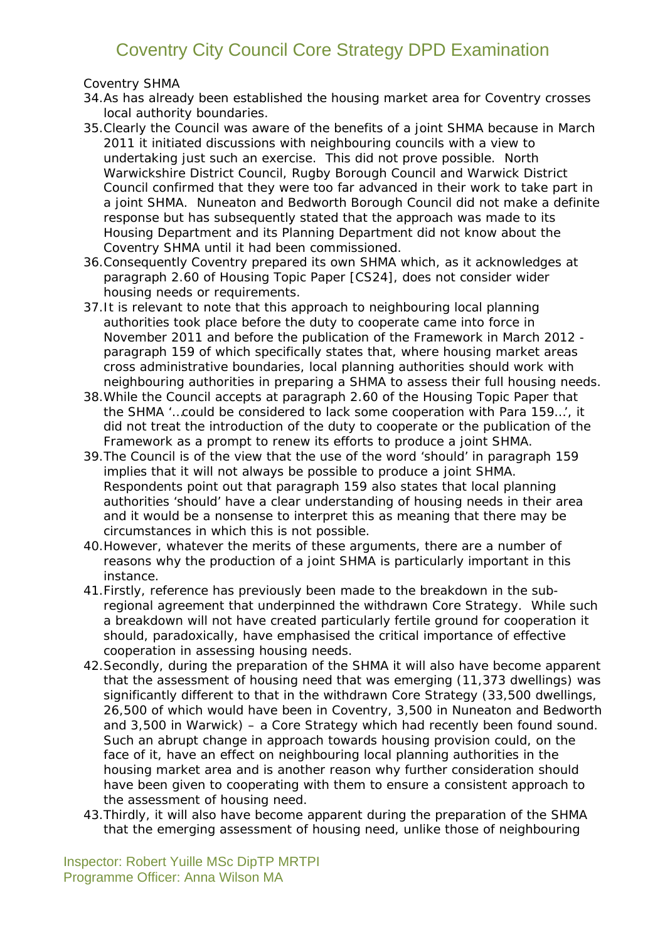#### *Coventry SHMA*

- 34.As has already been established the housing market area for Coventry crosses local authority boundaries.
- 35.Clearly the Council was aware of the benefits of a joint SHMA because in March 2011 it initiated discussions with neighbouring councils with a view to undertaking just such an exercise. This did not prove possible. North Warwickshire District Council, Rugby Borough Council and Warwick District Council confirmed that they were too far advanced in their work to take part in a joint SHMA. Nuneaton and Bedworth Borough Council did not make a definite response but has subsequently stated that the approach was made to its Housing Department and its Planning Department did not know about the Coventry SHMA until it had been commissioned.
- 36.Consequently Coventry prepared its own SHMA which, as it acknowledges at paragraph 2.60 of Housing Topic Paper *[CS24],* does not consider wider housing needs or requirements.
- 37.It is relevant to note that this approach to neighbouring local planning authorities took place before the duty to cooperate came into force in November 2011 and before the publication of the Framework in March 2012 paragraph 159 of which specifically states that, where housing market areas cross administrative boundaries, local planning authorities should work with neighbouring authorities in preparing a SHMA to assess their full housing needs.
- 38.While the Council accepts at paragraph 2.60 of the Housing Topic Paper that the SHMA '…*could be considered to lack some cooperation with Para 159*…', it did not treat the introduction of the duty to cooperate or the publication of the Framework as a prompt to renew its efforts to produce a joint SHMA.
- 39.The Council is of the view that the use of the word 'should' in paragraph 159 implies that it will not always be possible to produce a joint SHMA. Respondents point out that paragraph 159 also states that local planning authorities 'should' have a clear understanding of housing needs in their area and it would be a nonsense to interpret this as meaning that there may be circumstances in which this is not possible.
- 40.However, whatever the merits of these arguments, there are a number of reasons why the production of a joint SHMA is particularly important in this instance.
- 41.Firstly, reference has previously been made to the breakdown in the subregional agreement that underpinned the withdrawn Core Strategy. While such a breakdown will not have created particularly fertile ground for cooperation it should, paradoxically, have emphasised the critical importance of effective cooperation in assessing housing needs.
- 42.Secondly, during the preparation of the SHMA it will also have become apparent that the assessment of housing need that was emerging (11,373 dwellings) was significantly different to that in the withdrawn Core Strategy (33,500 dwellings, 26,500 of which would have been in Coventry, 3,500 in Nuneaton and Bedworth and 3,500 in Warwick) – a Core Strategy which had recently been found sound. Such an abrupt change in approach towards housing provision could, on the face of it, have an effect on neighbouring local planning authorities in the housing market area and is another reason why further consideration should have been given to cooperating with them to ensure a consistent approach to the assessment of housing need.
- 43.Thirdly, it will also have become apparent during the preparation of the SHMA that the emerging assessment of housing need, unlike those of neighbouring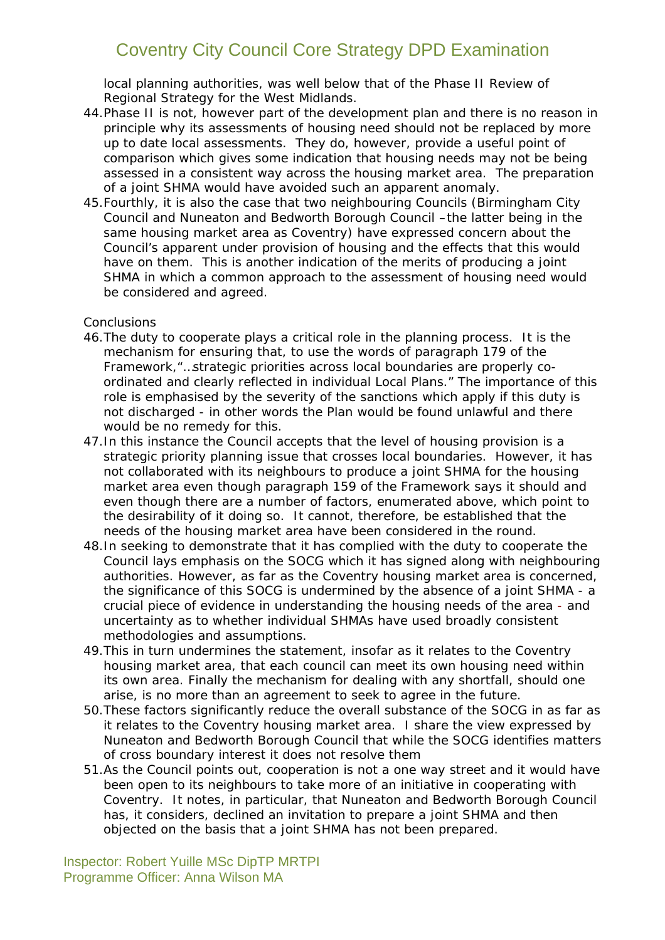local planning authorities, was well below that of the Phase II Review of Regional Strategy for the West Midlands.

- 44.Phase II is not, however part of the development plan and there is no reason in principle why its assessments of housing need should not be replaced by more up to date local assessments. They do, however, provide a useful point of comparison which gives some indication that housing needs may not be being assessed in a consistent way across the housing market area. The preparation of a joint SHMA would have avoided such an apparent anomaly.
- 45.Fourthly, it is also the case that two neighbouring Councils (Birmingham City Council and Nuneaton and Bedworth Borough Council –the latter being in the same housing market area as Coventry) have expressed concern about the Council's apparent under provision of housing and the effects that this would have on them. This is another indication of the merits of producing a joint SHMA in which a common approach to the assessment of housing need would be considered and agreed.

#### *Conclusions*

- 46.The duty to cooperate plays a critical role in the planning process. It is the mechanism for ensuring that, to use the words of paragraph 179 of the Framework,"…*strategic priorities across local boundaries are properly coordinated and clearly reflected in individual Local Plans.*" The importance of this role is emphasised by the severity of the sanctions which apply if this duty is not discharged - in other words the Plan would be found unlawful and there would be no remedy for this.
- 47.In this instance the Council accepts that the level of housing provision is a strategic priority planning issue that crosses local boundaries. However, it has not collaborated with its neighbours to produce a joint SHMA for the housing market area even though paragraph 159 of the Framework says it should and even though there are a number of factors, enumerated above, which point to the desirability of it doing so. It cannot, therefore, be established that the needs of the housing market area have been considered in the round.
- 48.In seeking to demonstrate that it has complied with the duty to cooperate the Council lays emphasis on the SOCG which it has signed along with neighbouring authorities. However, as far as the Coventry housing market area is concerned, the significance of this SOCG is undermined by the absence of a joint SHMA - a crucial piece of evidence in understanding the housing needs of the area - and uncertainty as to whether individual SHMAs have used broadly consistent methodologies and assumptions.
- 49.This in turn undermines the statement, insofar as it relates to the Coventry housing market area, that each council can meet its own housing need within its own area. Finally the mechanism for dealing with any shortfall, should one arise, is no more than an agreement to seek to agree in the future.
- 50.These factors significantly reduce the overall substance of the SOCG in as far as it relates to the Coventry housing market area. I share the view expressed by Nuneaton and Bedworth Borough Council that while the SOCG identifies matters of cross boundary interest it does not resolve them
- 51.As the Council points out, cooperation is not a one way street and it would have been open to its neighbours to take more of an initiative in cooperating with Coventry. It notes, in particular, that Nuneaton and Bedworth Borough Council has, it considers, declined an invitation to prepare a joint SHMA and then objected on the basis that a joint SHMA has not been prepared.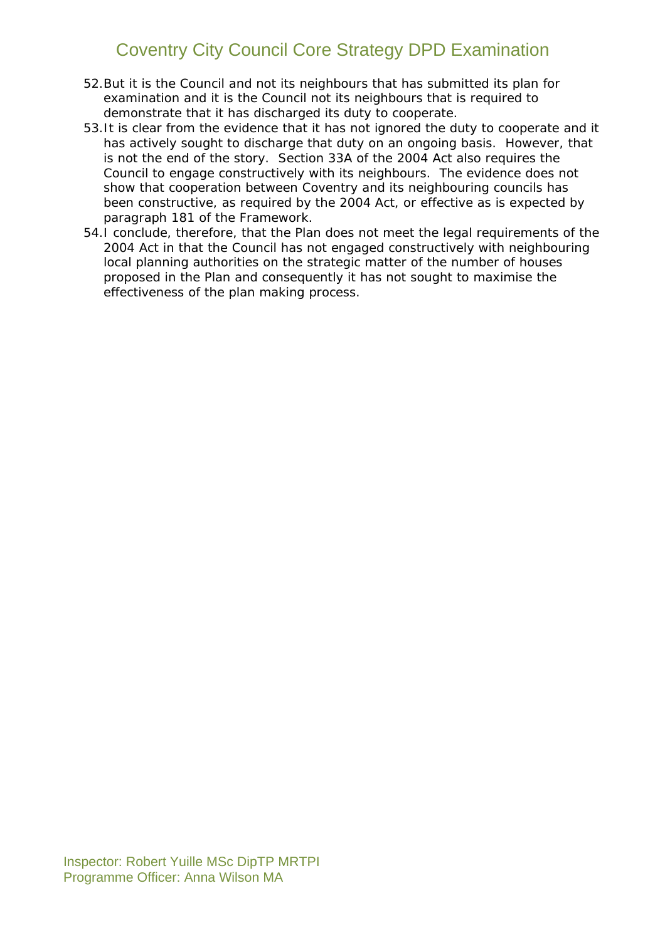- 52.But it is the Council and not its neighbours that has submitted its plan for examination and it is the Council not its neighbours that is required to demonstrate that it has discharged its duty to cooperate.
- 53.It is clear from the evidence that it has not ignored the duty to cooperate and it has actively sought to discharge that duty on an ongoing basis. However, that is not the end of the story. Section 33A of the 2004 Act also requires the Council to engage constructively with its neighbours. The evidence does not show that cooperation between Coventry and its neighbouring councils has been constructive, as required by the 2004 Act, or effective as is expected by paragraph 181 of the Framework.
- 54.I conclude, therefore, that the Plan does not meet the legal requirements of the 2004 Act in that the Council has not engaged constructively with neighbouring local planning authorities on the strategic matter of the number of houses proposed in the Plan and consequently it has not sought to maximise the effectiveness of the plan making process.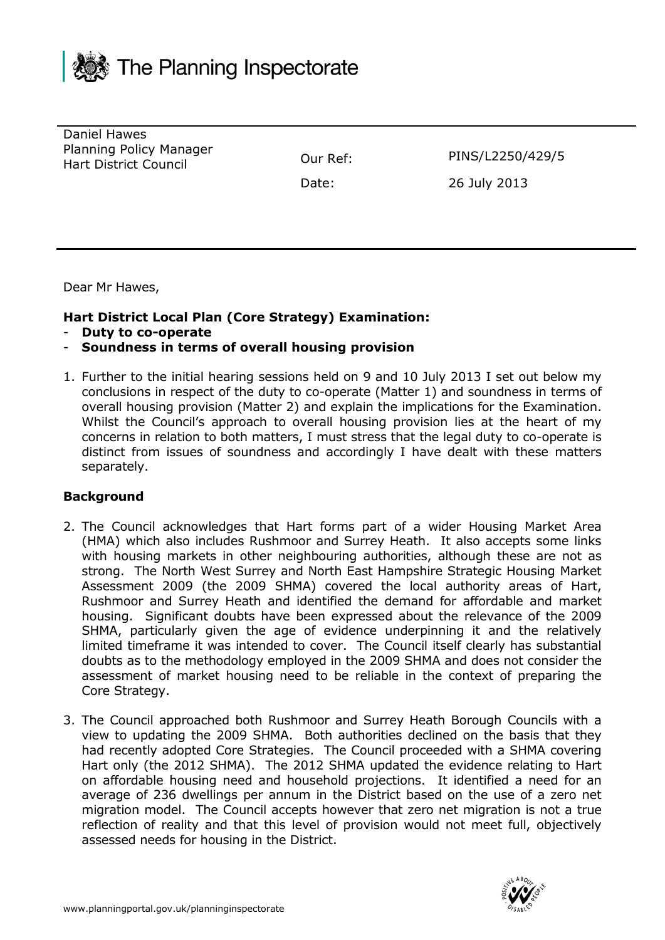

Daniel Hawes Planning Policy Manager Hart District Council Our Ref: PINS/L2250/429/5

Date: 26 July 2013

Dear Mr Hawes,

#### **Hart District Local Plan (Core Strategy) Examination:**

- **Duty to co-operate**
- **Soundness in terms of overall housing provision**
- 1. Further to the initial hearing sessions held on 9 and 10 July 2013 I set out below my conclusions in respect of the duty to co-operate (Matter 1) and soundness in terms of overall housing provision (Matter 2) and explain the implications for the Examination. Whilst the Council's approach to overall housing provision lies at the heart of my concerns in relation to both matters, I must stress that the legal duty to co-operate is distinct from issues of soundness and accordingly I have dealt with these matters separately.

#### **Background**

- 2. The Council acknowledges that Hart forms part of a wider Housing Market Area (HMA) which also includes Rushmoor and Surrey Heath. It also accepts some links with housing markets in other neighbouring authorities, although these are not as strong. The North West Surrey and North East Hampshire Strategic Housing Market Assessment 2009 (the 2009 SHMA) covered the local authority areas of Hart, Rushmoor and Surrey Heath and identified the demand for affordable and market housing. Significant doubts have been expressed about the relevance of the 2009 SHMA, particularly given the age of evidence underpinning it and the relatively limited timeframe it was intended to cover. The Council itself clearly has substantial doubts as to the methodology employed in the 2009 SHMA and does not consider the assessment of market housing need to be reliable in the context of preparing the Core Strategy.
- 3. The Council approached both Rushmoor and Surrey Heath Borough Councils with a view to updating the 2009 SHMA. Both authorities declined on the basis that they had recently adopted Core Strategies. The Council proceeded with a SHMA covering Hart only (the 2012 SHMA). The 2012 SHMA updated the evidence relating to Hart on affordable housing need and household projections. It identified a need for an average of 236 dwellings per annum in the District based on the use of a zero net migration model. The Council accepts however that zero net migration is not a true reflection of reality and that this level of provision would not meet full, objectively assessed needs for housing in the District.

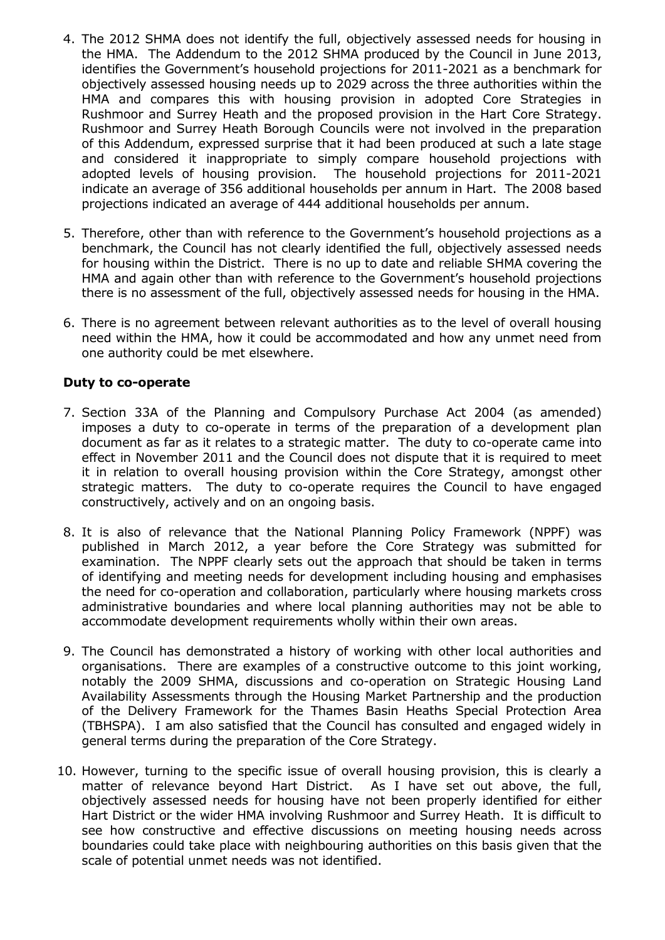- 4. The 2012 SHMA does not identify the full, objectively assessed needs for housing in the HMA. The Addendum to the 2012 SHMA produced by the Council in June 2013, identifies the Government's household projections for 2011-2021 as a benchmark for objectively assessed housing needs up to 2029 across the three authorities within the HMA and compares this with housing provision in adopted Core Strategies in Rushmoor and Surrey Heath and the proposed provision in the Hart Core Strategy. Rushmoor and Surrey Heath Borough Councils were not involved in the preparation of this Addendum, expressed surprise that it had been produced at such a late stage and considered it inappropriate to simply compare household projections with adopted levels of housing provision. The household projections for 2011-2021 indicate an average of 356 additional households per annum in Hart. The 2008 based projections indicated an average of 444 additional households per annum.
- 5. Therefore, other than with reference to the Government's household projections as a benchmark, the Council has not clearly identified the full, objectively assessed needs for housing within the District. There is no up to date and reliable SHMA covering the HMA and again other than with reference to the Government's household projections there is no assessment of the full, objectively assessed needs for housing in the HMA.
- 6. There is no agreement between relevant authorities as to the level of overall housing need within the HMA, how it could be accommodated and how any unmet need from one authority could be met elsewhere.

#### **Duty to co-operate**

- 7. Section 33A of the Planning and Compulsory Purchase Act 2004 (as amended) imposes a duty to co-operate in terms of the preparation of a development plan document as far as it relates to a strategic matter. The duty to co-operate came into effect in November 2011 and the Council does not dispute that it is required to meet it in relation to overall housing provision within the Core Strategy, amongst other strategic matters. The duty to co-operate requires the Council to have engaged constructively, actively and on an ongoing basis.
- 8. It is also of relevance that the National Planning Policy Framework (NPPF) was published in March 2012, a year before the Core Strategy was submitted for examination. The NPPF clearly sets out the approach that should be taken in terms of identifying and meeting needs for development including housing and emphasises the need for co-operation and collaboration, particularly where housing markets cross administrative boundaries and where local planning authorities may not be able to accommodate development requirements wholly within their own areas.
- 9. The Council has demonstrated a history of working with other local authorities and organisations. There are examples of a constructive outcome to this joint working, notably the 2009 SHMA, discussions and co-operation on Strategic Housing Land Availability Assessments through the Housing Market Partnership and the production of the Delivery Framework for the Thames Basin Heaths Special Protection Area (TBHSPA). I am also satisfied that the Council has consulted and engaged widely in general terms during the preparation of the Core Strategy.
- 10. However, turning to the specific issue of overall housing provision, this is clearly a matter of relevance beyond Hart District. As I have set out above, the full, objectively assessed needs for housing have not been properly identified for either Hart District or the wider HMA involving Rushmoor and Surrey Heath. It is difficult to see how constructive and effective discussions on meeting housing needs across boundaries could take place with neighbouring authorities on this basis given that the scale of potential unmet needs was not identified.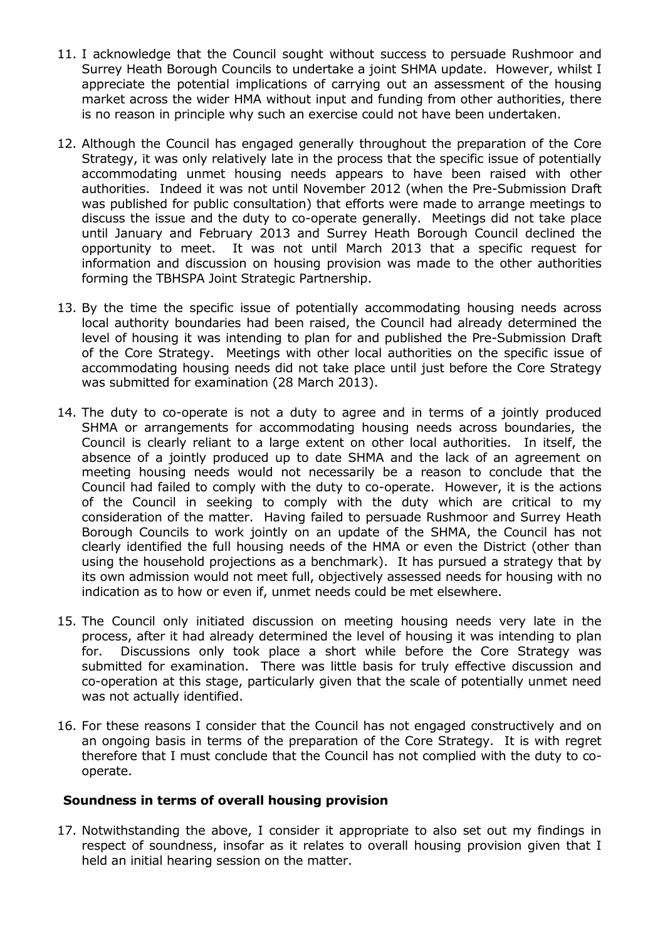- 11. I acknowledge that the Council sought without success to persuade Rushmoor and Surrey Heath Borough Councils to undertake a joint SHMA update. However, whilst I appreciate the potential implications of carrying out an assessment of the housing market across the wider HMA without input and funding from other authorities, there is no reason in principle why such an exercise could not have been undertaken.
- 12. Although the Council has engaged generally throughout the preparation of the Core Strategy, it was only relatively late in the process that the specific issue of potentially accommodating unmet housing needs appears to have been raised with other authorities. Indeed it was not until November 2012 (when the Pre-Submission Draft was published for public consultation) that efforts were made to arrange meetings to discuss the issue and the duty to co-operate generally. Meetings did not take place until January and February 2013 and Surrey Heath Borough Council declined the opportunity to meet. It was not until March 2013 that a specific request for information and discussion on housing provision was made to the other authorities forming the TBHSPA Joint Strategic Partnership.
- 13. By the time the specific issue of potentially accommodating housing needs across local authority boundaries had been raised, the Council had already determined the level of housing it was intending to plan for and published the Pre-Submission Draft of the Core Strategy. Meetings with other local authorities on the specific issue of accommodating housing needs did not take place until just before the Core Strategy was submitted for examination (28 March 2013).
- 14. The duty to co-operate is not a duty to agree and in terms of a jointly produced SHMA or arrangements for accommodating housing needs across boundaries, the Council is clearly reliant to a large extent on other local authorities. In itself, the absence of a jointly produced up to date SHMA and the lack of an agreement on meeting housing needs would not necessarily be a reason to conclude that the Council had failed to comply with the duty to co-operate. However, it is the actions of the Council in seeking to comply with the duty which are critical to my consideration of the matter. Having failed to persuade Rushmoor and Surrey Heath Borough Councils to work jointly on an update of the SHMA, the Council has not clearly identified the full housing needs of the HMA or even the District (other than using the household projections as a benchmark). It has pursued a strategy that by its own admission would not meet full, objectively assessed needs for housing with no indication as to how or even if, unmet needs could be met elsewhere.
- 15. The Council only initiated discussion on meeting housing needs very late in the process, after it had already determined the level of housing it was intending to plan for. Discussions only took place a short while before the Core Strategy was submitted for examination. There was little basis for truly effective discussion and co-operation at this stage, particularly given that the scale of potentially unmet need was not actually identified.
- 16. For these reasons I consider that the Council has not engaged constructively and on an ongoing basis in terms of the preparation of the Core Strategy. It is with regret therefore that I must conclude that the Council has not complied with the duty to cooperate.

#### **Soundness in terms of overall housing provision**

17. Notwithstanding the above, I consider it appropriate to also set out my findings in respect of soundness, insofar as it relates to overall housing provision given that I held an initial hearing session on the matter.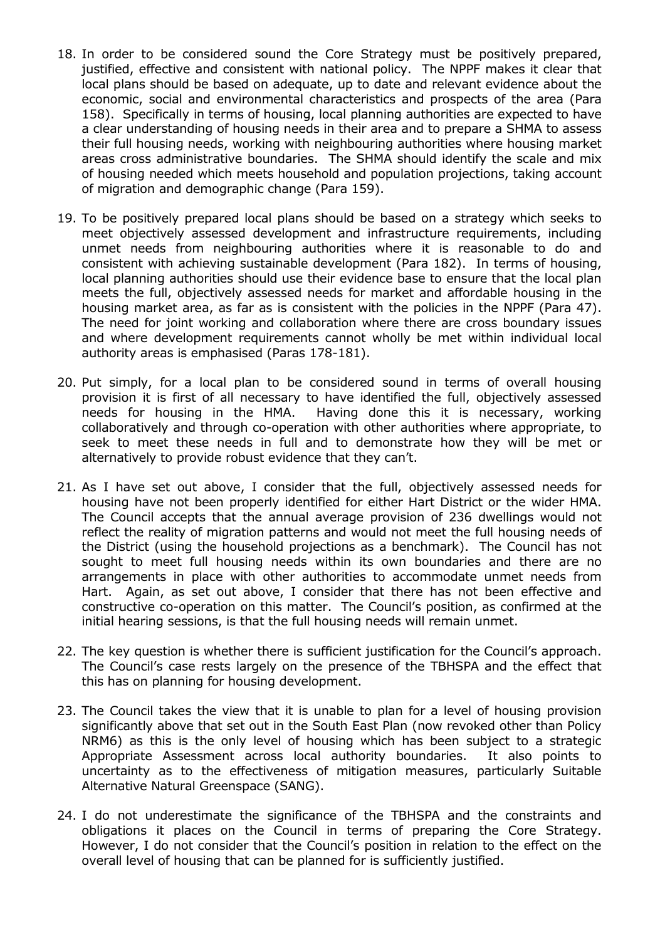- 18. In order to be considered sound the Core Strategy must be positively prepared, justified, effective and consistent with national policy. The NPPF makes it clear that local plans should be based on adequate, up to date and relevant evidence about the economic, social and environmental characteristics and prospects of the area (Para 158). Specifically in terms of housing, local planning authorities are expected to have a clear understanding of housing needs in their area and to prepare a SHMA to assess their full housing needs, working with neighbouring authorities where housing market areas cross administrative boundaries. The SHMA should identify the scale and mix of housing needed which meets household and population projections, taking account of migration and demographic change (Para 159).
- 19. To be positively prepared local plans should be based on a strategy which seeks to meet objectively assessed development and infrastructure requirements, including unmet needs from neighbouring authorities where it is reasonable to do and consistent with achieving sustainable development (Para 182). In terms of housing, local planning authorities should use their evidence base to ensure that the local plan meets the full, objectively assessed needs for market and affordable housing in the housing market area, as far as is consistent with the policies in the NPPF (Para 47). The need for joint working and collaboration where there are cross boundary issues and where development requirements cannot wholly be met within individual local authority areas is emphasised (Paras 178-181).
- 20. Put simply, for a local plan to be considered sound in terms of overall housing provision it is first of all necessary to have identified the full, objectively assessed needs for housing in the HMA. Having done this it is necessary, working collaboratively and through co-operation with other authorities where appropriate, to seek to meet these needs in full and to demonstrate how they will be met or alternatively to provide robust evidence that they can't.
- 21. As I have set out above, I consider that the full, objectively assessed needs for housing have not been properly identified for either Hart District or the wider HMA. The Council accepts that the annual average provision of 236 dwellings would not reflect the reality of migration patterns and would not meet the full housing needs of the District (using the household projections as a benchmark). The Council has not sought to meet full housing needs within its own boundaries and there are no arrangements in place with other authorities to accommodate unmet needs from Hart. Again, as set out above, I consider that there has not been effective and constructive co-operation on this matter. The Council's position, as confirmed at the initial hearing sessions, is that the full housing needs will remain unmet.
- 22. The key question is whether there is sufficient justification for the Council's approach. The Council's case rests largely on the presence of the TBHSPA and the effect that this has on planning for housing development.
- 23. The Council takes the view that it is unable to plan for a level of housing provision significantly above that set out in the South East Plan (now revoked other than Policy NRM6) as this is the only level of housing which has been subject to a strategic Appropriate Assessment across local authority boundaries. It also points to uncertainty as to the effectiveness of mitigation measures, particularly Suitable Alternative Natural Greenspace (SANG).
- 24. I do not underestimate the significance of the TBHSPA and the constraints and obligations it places on the Council in terms of preparing the Core Strategy. However, I do not consider that the Council's position in relation to the effect on the overall level of housing that can be planned for is sufficiently justified.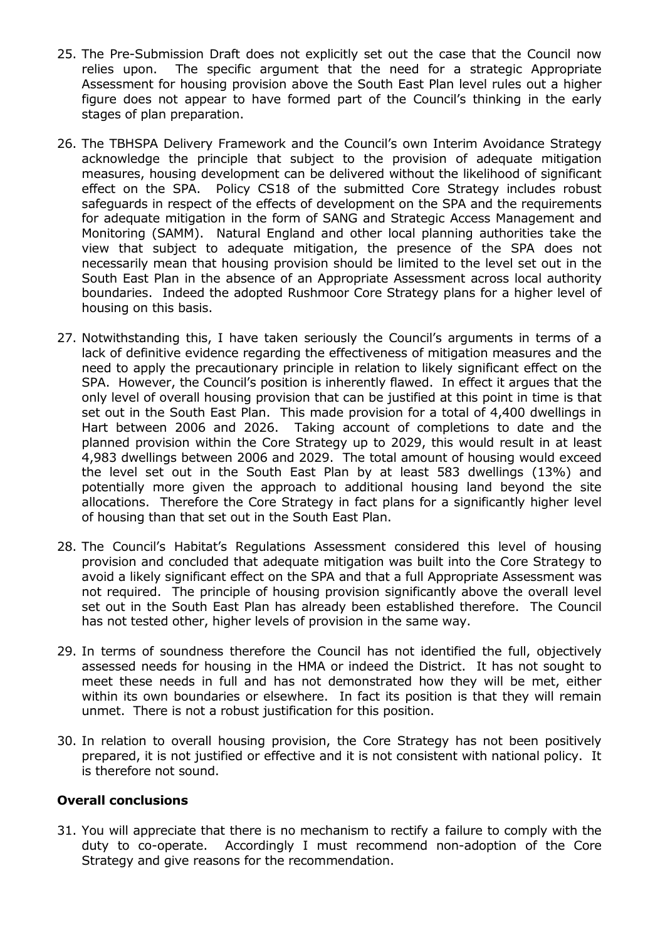- 25. The Pre-Submission Draft does not explicitly set out the case that the Council now relies upon. The specific argument that the need for a strategic Appropriate Assessment for housing provision above the South East Plan level rules out a higher figure does not appear to have formed part of the Council's thinking in the early stages of plan preparation.
- 26. The TBHSPA Delivery Framework and the Council's own Interim Avoidance Strategy acknowledge the principle that subject to the provision of adequate mitigation measures, housing development can be delivered without the likelihood of significant effect on the SPA. Policy CS18 of the submitted Core Strategy includes robust safeguards in respect of the effects of development on the SPA and the requirements for adequate mitigation in the form of SANG and Strategic Access Management and Monitoring (SAMM). Natural England and other local planning authorities take the view that subject to adequate mitigation, the presence of the SPA does not necessarily mean that housing provision should be limited to the level set out in the South East Plan in the absence of an Appropriate Assessment across local authority boundaries. Indeed the adopted Rushmoor Core Strategy plans for a higher level of housing on this basis.
- 27. Notwithstanding this, I have taken seriously the Council's arguments in terms of a lack of definitive evidence regarding the effectiveness of mitigation measures and the need to apply the precautionary principle in relation to likely significant effect on the SPA. However, the Council's position is inherently flawed. In effect it argues that the only level of overall housing provision that can be justified at this point in time is that set out in the South East Plan. This made provision for a total of 4,400 dwellings in Hart between 2006 and 2026. Taking account of completions to date and the planned provision within the Core Strategy up to 2029, this would result in at least 4,983 dwellings between 2006 and 2029. The total amount of housing would exceed the level set out in the South East Plan by at least 583 dwellings (13%) and potentially more given the approach to additional housing land beyond the site allocations. Therefore the Core Strategy in fact plans for a significantly higher level of housing than that set out in the South East Plan.
- 28. The Council's Habitat's Regulations Assessment considered this level of housing provision and concluded that adequate mitigation was built into the Core Strategy to avoid a likely significant effect on the SPA and that a full Appropriate Assessment was not required. The principle of housing provision significantly above the overall level set out in the South East Plan has already been established therefore. The Council has not tested other, higher levels of provision in the same way.
- 29. In terms of soundness therefore the Council has not identified the full, objectively assessed needs for housing in the HMA or indeed the District. It has not sought to meet these needs in full and has not demonstrated how they will be met, either within its own boundaries or elsewhere. In fact its position is that they will remain unmet. There is not a robust justification for this position.
- 30. In relation to overall housing provision, the Core Strategy has not been positively prepared, it is not justified or effective and it is not consistent with national policy. It is therefore not sound.

#### **Overall conclusions**

31. You will appreciate that there is no mechanism to rectify a failure to comply with the duty to co-operate. Accordingly I must recommend non-adoption of the Core Strategy and give reasons for the recommendation.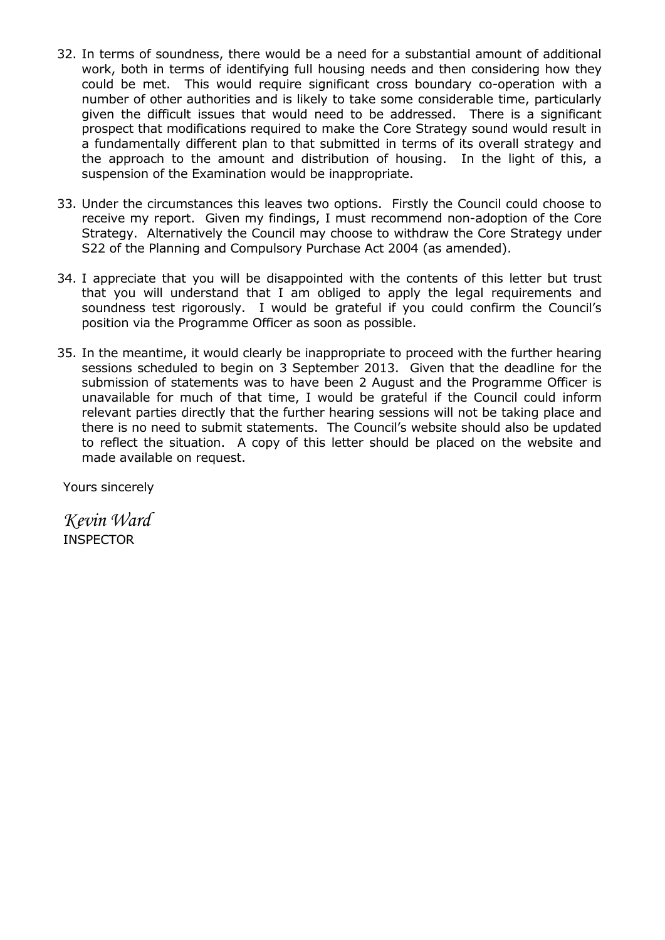- 32. In terms of soundness, there would be a need for a substantial amount of additional work, both in terms of identifying full housing needs and then considering how they could be met. This would require significant cross boundary co-operation with a number of other authorities and is likely to take some considerable time, particularly given the difficult issues that would need to be addressed. There is a significant prospect that modifications required to make the Core Strategy sound would result in a fundamentally different plan to that submitted in terms of its overall strategy and the approach to the amount and distribution of housing. In the light of this, a suspension of the Examination would be inappropriate.
- 33. Under the circumstances this leaves two options. Firstly the Council could choose to receive my report. Given my findings, I must recommend non-adoption of the Core Strategy. Alternatively the Council may choose to withdraw the Core Strategy under S22 of the Planning and Compulsory Purchase Act 2004 (as amended).
- 34. I appreciate that you will be disappointed with the contents of this letter but trust that you will understand that I am obliged to apply the legal requirements and soundness test rigorously. I would be grateful if you could confirm the Council's position via the Programme Officer as soon as possible.
- 35. In the meantime, it would clearly be inappropriate to proceed with the further hearing sessions scheduled to begin on 3 September 2013. Given that the deadline for the submission of statements was to have been 2 August and the Programme Officer is unavailable for much of that time, I would be grateful if the Council could inform relevant parties directly that the further hearing sessions will not be taking place and there is no need to submit statements. The Council's website should also be updated to reflect the situation. A copy of this letter should be placed on the website and made available on request.

Yours sincerely

*Kevin Ward* INSPECTOR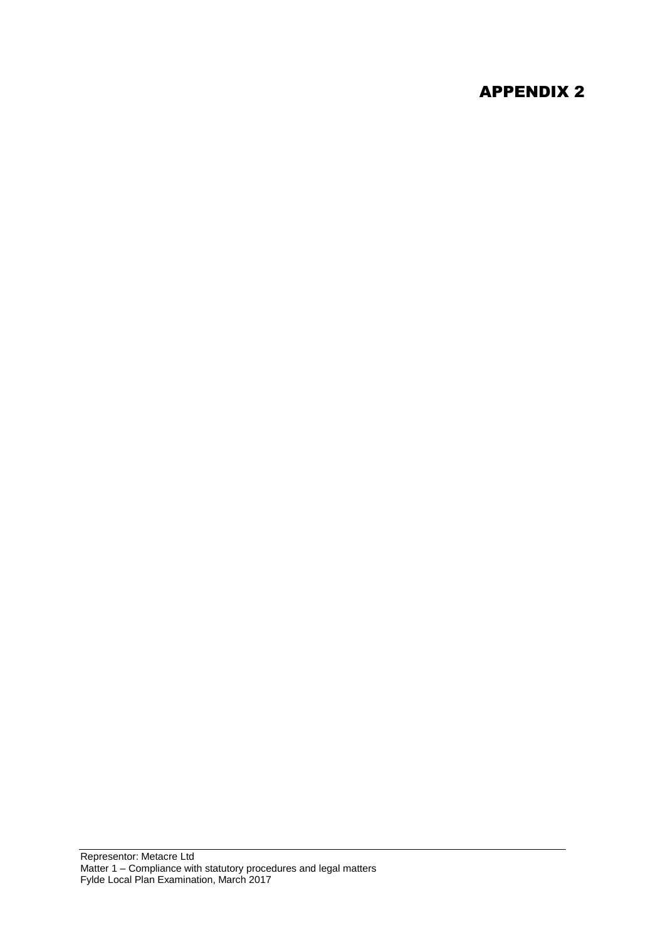# APPENDIX 2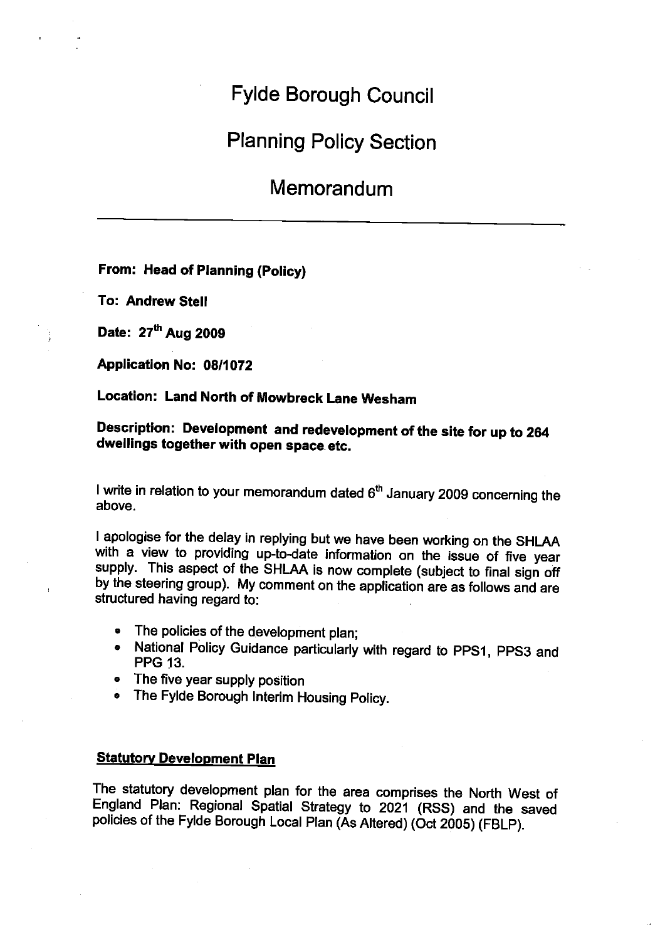# **Fylde Borough Council**

# **Planning Policy Section**

# Memorandum

#### From: Head of Planning (Policy)

**To: Andrew Stell** 

Date: 27<sup>th</sup> Aug 2009

Application No: 08/1072

#### Location: Land North of Mowbreck Lane Wesham

#### Description: Development and redevelopment of the site for up to 264 dwellings together with open space etc.

I write in relation to your memorandum dated 6<sup>th</sup> January 2009 concerning the above.

I apologise for the delay in replying but we have been working on the SHLAA with a view to providing up-to-date information on the issue of five year supply. This aspect of the SHLAA is now complete (subject to final sign off by the steering group). My comment on the application are as follows and are structured having regard to:

- The policies of the development plan:
- National Policy Guidance particularly with regard to PPS1, PPS3 and  $\bullet$ **PPG 13.**
- The five year supply position
- The Fylde Borough Interim Housing Policy.  $\bullet$

#### **Statutory Development Plan**

The statutory development plan for the area comprises the North West of England Plan: Regional Spatial Strategy to 2021 (RSS) and the saved policies of the Fylde Borough Local Plan (As Altered) (Oct 2005) (FBLP).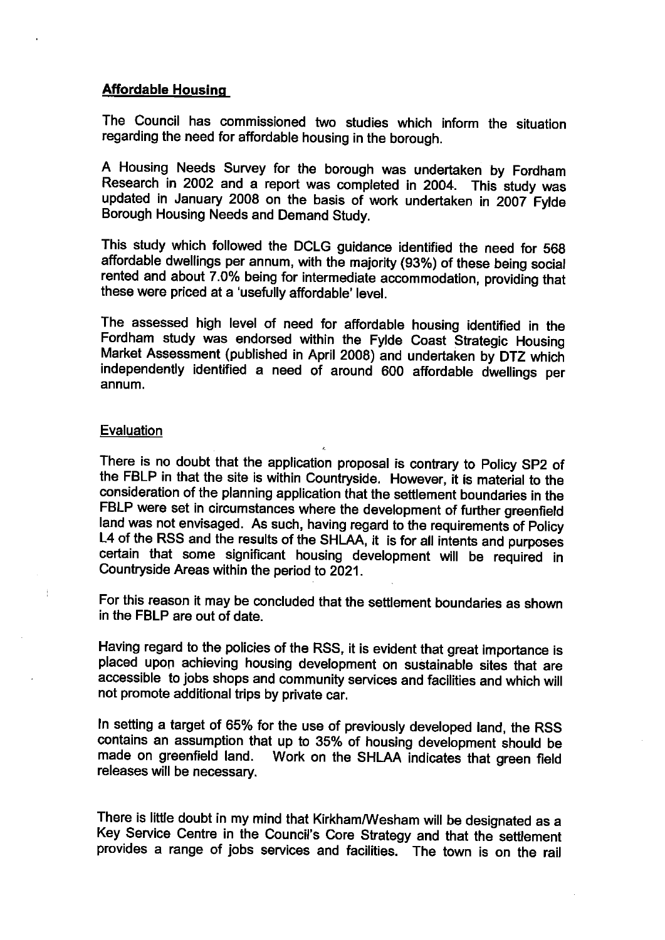#### **Affordable Housing**

The Council has commissioned two studies which inform the situation regarding the need for affordable housing in the borough.

A Housing Needs Survey for the borough was undertaken by Fordham Research in 2002 and a report was completed in 2004. This study was updated in January 2008 on the basis of work undertaken in 2007 Fylde Borough Housing Needs and Demand Study.

This study which followed the DCLG guidance identified the need for 568 affordable dwellings per annum, with the majority (93%) of these being social rented and about 7.0% being for intermediate accommodation, providing that these were priced at a 'usefully affordable' level.

The assessed high level of need for affordable housing identified in the Fordham study was endorsed within the Fylde Coast Strategic Housing Market Assessment (published in April 2008) and undertaken by DTZ which independently identified a need of around 600 affordable dwellings per annum.

#### Evaluation

j.

There is no doubt that the application proposal is contrary to Policy SP2 of the FBLP in that the site is within Countryside. However, it is material to the consideration of the planning application that the settlement boundaries in the FBLP were set in circumstances where the development of further greenfield land was not envisaged. As such, having regard to the requirements of Policy L4 of the RSS and the results of the SHLAA, it is for all intents and purposes certain that some significant housing development will be required in Countryside Areas within the period to 2021.

For this reason it may be concluded that the settlement boundaries as shown in the FBLP are out of date.

Having regard to the policies of the RSS, it is evident that great importance is placed upon achieving housing development on sustainable sites that are accessible to jobs shops and community services and facilities and which will not promote additional trips by private car.

In setting a target of 65% for the use of previously developed land, the RSS contains an assumption that up to 35% of housing development should be made on greenfield land. Work on the SHLAA indicates that green field releases will be necessary.

There is little doubt in my mind that Kirkham/Wesham will be designated as a Key Service Centre in the Council's Core Strategy and that the settlement provides a range of jobs services and facilities. The town is on the rail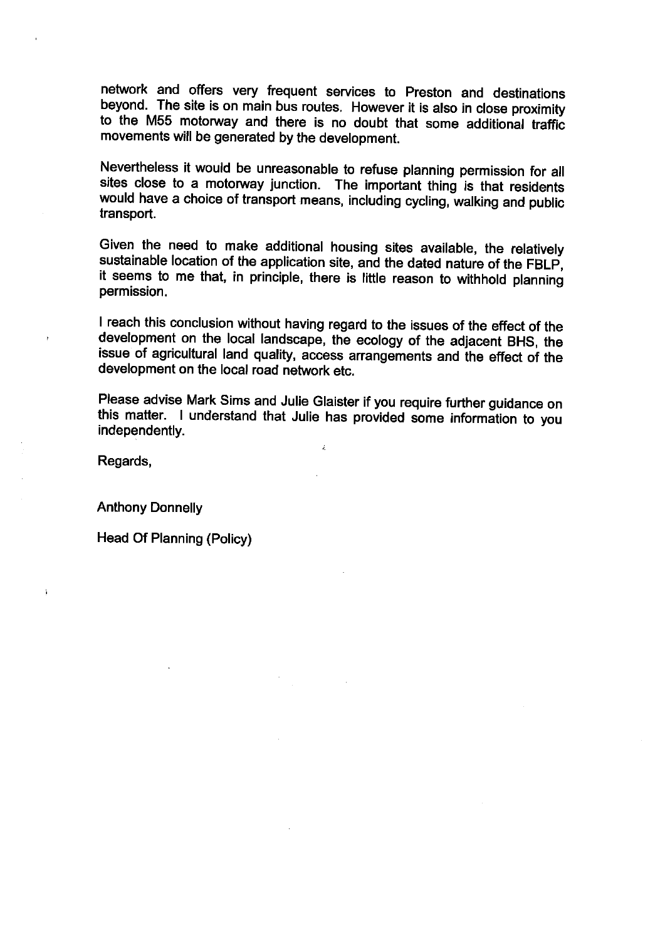network and offers very frequent services to Preston and destinations beyond. The site is on main bus routes. However it is also in close proximity to the M55 motorway and there is no doubt that some additional traffic movements will be generated by the development.

Nevertheless it would be unreasonable to refuse planning permission for all sites close to a motorway junction. The important thing is that residents would have a choice of transport means, including cycling, walking and public transport.

Given the need to make additional housing sites available, the relatively sustainable location of the application site, and the dated nature of the FBLP, it seems to me that, in principle, there is little reason to withhold planning permission.

I reach this conclusion without having regard to the issues of the effect of the development on the local landscape, the ecology of the adjacent BHS, the issue of agricultural land quality, access arrangements and the effect of the development on the local road network etc.

Please advise Mark Sims and Julie Glaister if you require further guidance on this matter. I understand that Julie has provided some information to you independently.

ý.

Regards,

 $\mathbf{i}$ 

**Anthony Donnelly** 

Head Of Planning (Policy)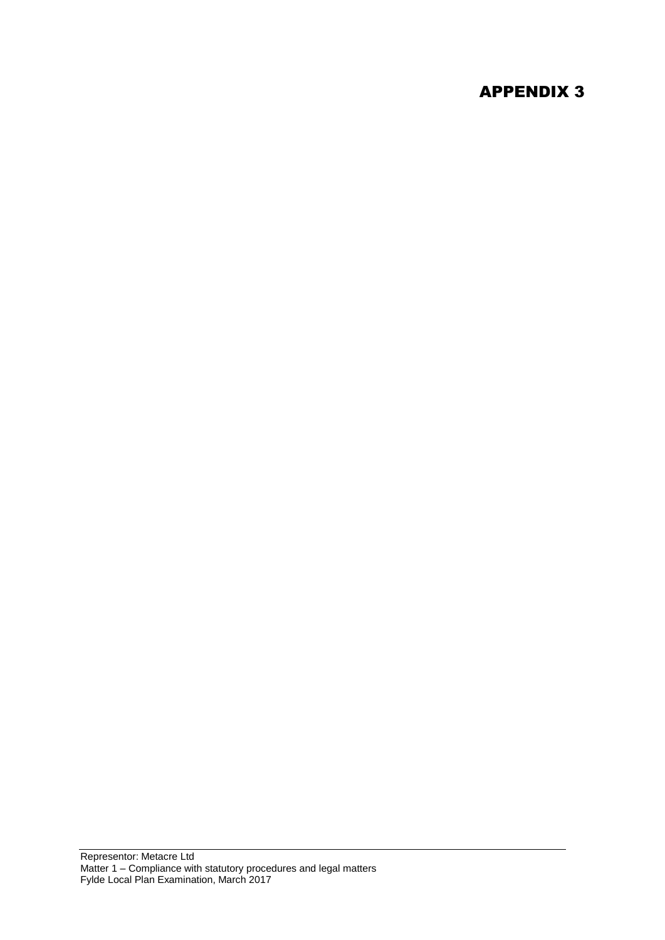# APPENDIX 3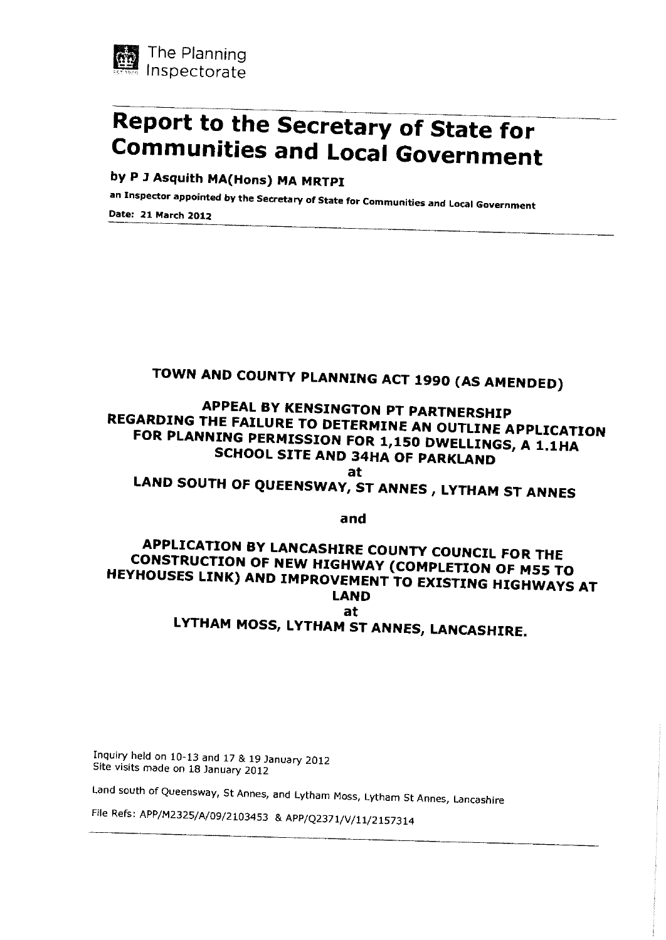

# Report to the Secretary of State for **Communities and Local Government**

by P J Asquith MA(Hons) MA MRTPI

an Inspector appointed by the Secretary of State for Communities and Local Government

Date: 21 March 2012

# TOWN AND COUNTY PLANNING ACT 1990 (AS AMENDED)

# APPEAL BY KENSINGTON PT PARTNERSHIP REGARDING THE FAILURE TO DETERMINE AN OUTLINE APPLICATION FOR PLANNING PERMISSION FOR 1,150 DWELLINGS, A 1.1HA **SCHOOL SITE AND 34HA OF PARKLAND**

at

LAND SOUTH OF QUEENSWAY, ST ANNES, LYTHAM ST ANNES

and

#### APPLICATION BY LANCASHIRE COUNTY COUNCIL FOR THE CONSTRUCTION OF NEW HIGHWAY (COMPLETION OF M55 TO HEYHOUSES LINK) AND IMPROVEMENT TO EXISTING HIGHWAYS AT **LAND** at LYTHAM MOSS, LYTHAM ST ANNES, LANCASHIRE.

Inquiry held on 10-13 and 17 & 19 January 2012 Site visits made on 18 January 2012

Land south of Queensway, St Annes, and Lytham Moss, Lytham St Annes, Lancashire

File Refs: APP/M2325/A/09/2103453 & APP/Q2371/V/11/2157314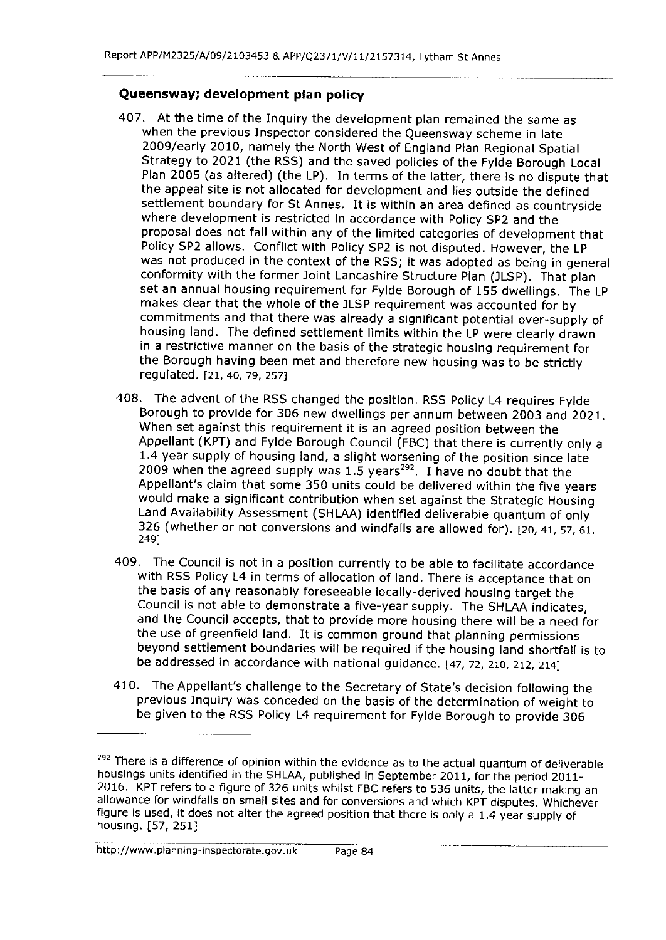#### Queensway; development plan policy

- 407. At the time of the Inquiry the development plan remained the same as when the previous Inspector considered the Queensway scheme in late 2009/early 2010, namely the North West of England Plan Regional Spatial Strategy to 2021 (the RSS) and the saved policies of the Fylde Borough Local Plan 2005 (as altered) (the LP). In terms of the latter, there is no dispute that the appeal site is not allocated for development and lies outside the defined settlement boundary for St Annes. It is within an area defined as countryside where development is restricted in accordance with Policy SP2 and the proposal does not fall within any of the limited categories of development that Policy SP2 allows. Conflict with Policy SP2 is not disputed. However, the LP was not produced in the context of the RSS; it was adopted as being in general conformity with the former Joint Lancashire Structure Plan (JLSP). That plan set an annual housing requirement for Fylde Borough of 155 dwellings. The LP makes clear that the whole of the JLSP requirement was accounted for by commitments and that there was already a significant potential over-supply of housing land. The defined settlement limits within the LP were clearly drawn in a restrictive manner on the basis of the strategic housing requirement for the Borough having been met and therefore new housing was to be strictly regulated. [21, 40, 79, 257]
- 408. The advent of the RSS changed the position. RSS Policy L4 requires Fylde Borough to provide for 306 new dwellings per annum between 2003 and 2021. When set against this requirement it is an agreed position between the Appellant (KPT) and Fylde Borough Council (FBC) that there is currently only a 1.4 year supply of housing land, a slight worsening of the position since late 2009 when the agreed supply was 1.5 years<sup>292</sup>. I have no doubt that the Appellant's claim that some 350 units could be delivered within the five years would make a significant contribution when set against the Strategic Housing Land Availability Assessment (SHLAA) identified deliverable quantum of only 326 (whether or not conversions and windfalls are allowed for). [20, 41, 57, 61, 249]
- 409. The Council is not in a position currently to be able to facilitate accordance with RSS Policy L4 in terms of allocation of land. There is acceptance that on the basis of any reasonably foreseeable locally-derived housing target the Council is not able to demonstrate a five-year supply. The SHLAA indicates, and the Council accepts, that to provide more housing there will be a need for the use of greenfield land. It is common ground that planning permissions beyond settlement boundaries will be required if the housing land shortfall is to be addressed in accordance with national guidance. [47, 72, 210, 212, 214]
- 410. The Appellant's challenge to the Secretary of State's decision following the previous Inquiry was conceded on the basis of the determination of weight to be given to the RSS Policy L4 requirement for Fylde Borough to provide 306

<sup>&</sup>lt;sup>292</sup> There is a difference of opinion within the evidence as to the actual quantum of deliverable housings units identified in the SHLAA, published in September 2011, for the period 2011-2016. KPT refers to a figure of 326 units whilst FBC refers to 536 units, the latter making an allowance for windfalls on small sites and for conversions and which KPT disputes. Whichever figure is used, it does not alter the agreed position that there is only a 1.4 year supply of housing. [57, 251]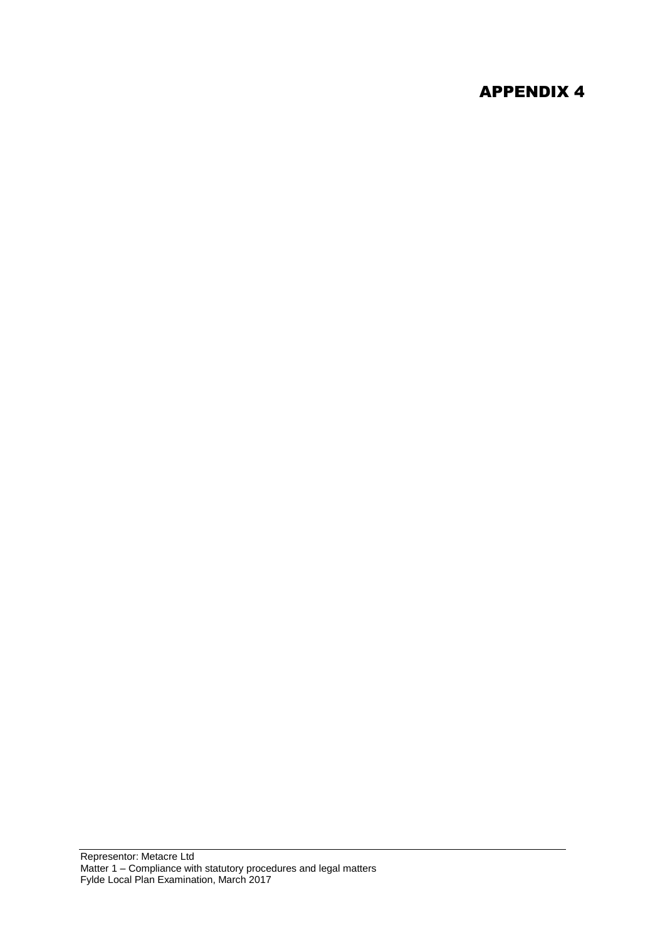# APPENDIX 4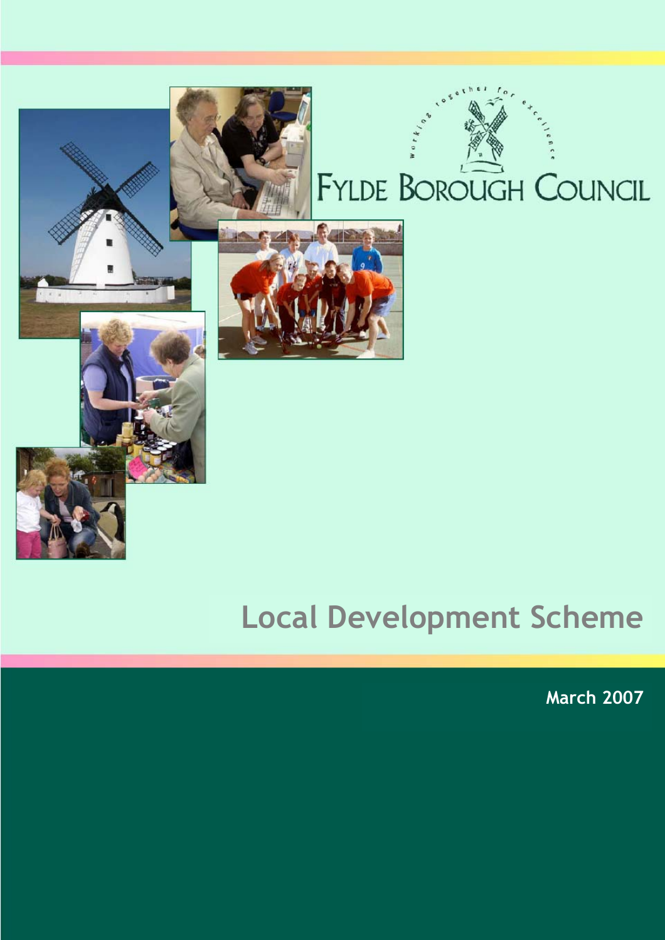

# FYLDE BOROUGH COUNCIL

# **Local Development Scheme**

**March 2007**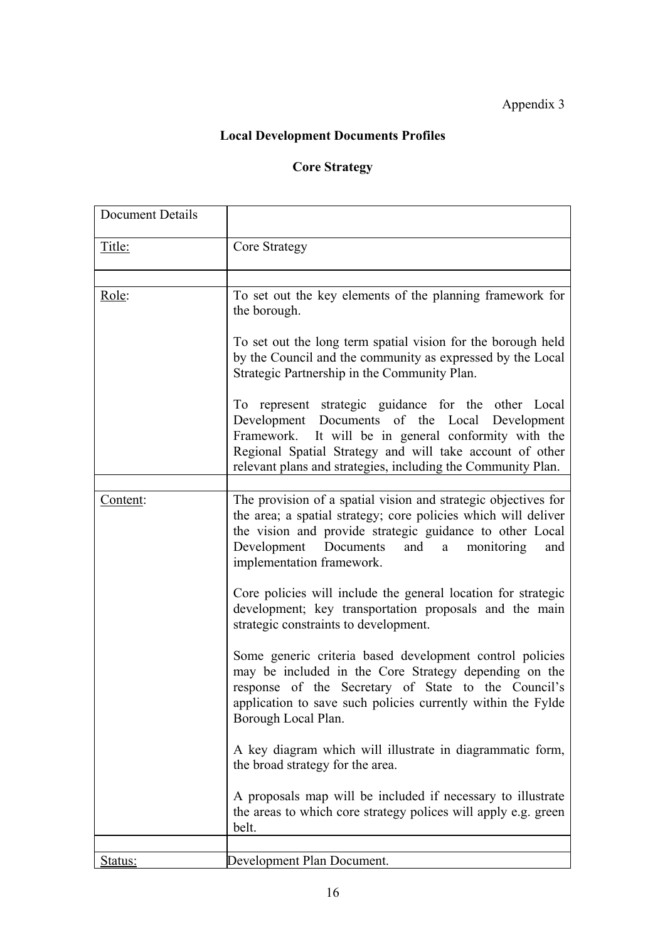# Appendix 3

# **Local Development Documents Profiles**

# **Core Strategy**

| Document Details |                                                                                                                                                                                                                                                                                           |
|------------------|-------------------------------------------------------------------------------------------------------------------------------------------------------------------------------------------------------------------------------------------------------------------------------------------|
| Title:           | Core Strategy                                                                                                                                                                                                                                                                             |
| Role:            | To set out the key elements of the planning framework for<br>the borough.                                                                                                                                                                                                                 |
|                  | To set out the long term spatial vision for the borough held<br>by the Council and the community as expressed by the Local<br>Strategic Partnership in the Community Plan.                                                                                                                |
|                  | To represent strategic guidance for the other Local<br>Development Documents of the Local Development<br>Framework. It will be in general conformity with the<br>Regional Spatial Strategy and will take account of other<br>relevant plans and strategies, including the Community Plan. |
| Content:         | The provision of a spatial vision and strategic objectives for<br>the area; a spatial strategy; core policies which will deliver<br>the vision and provide strategic guidance to other Local<br>Development Documents<br>and a monitoring<br>and<br>implementation framework.             |
|                  | Core policies will include the general location for strategic<br>development; key transportation proposals and the main<br>strategic constraints to development.                                                                                                                          |
|                  | Some generic criteria based development control policies<br>may be included in the Core Strategy depending on the<br>response of the Secretary of State to the Council's<br>application to save such policies currently within the Fylde<br>Borough Local Plan.                           |
|                  | A key diagram which will illustrate in diagrammatic form,<br>the broad strategy for the area.                                                                                                                                                                                             |
|                  | A proposals map will be included if necessary to illustrate<br>the areas to which core strategy polices will apply e.g. green<br>belt.                                                                                                                                                    |
| <u>Status:</u>   | Development Plan Document.                                                                                                                                                                                                                                                                |
|                  |                                                                                                                                                                                                                                                                                           |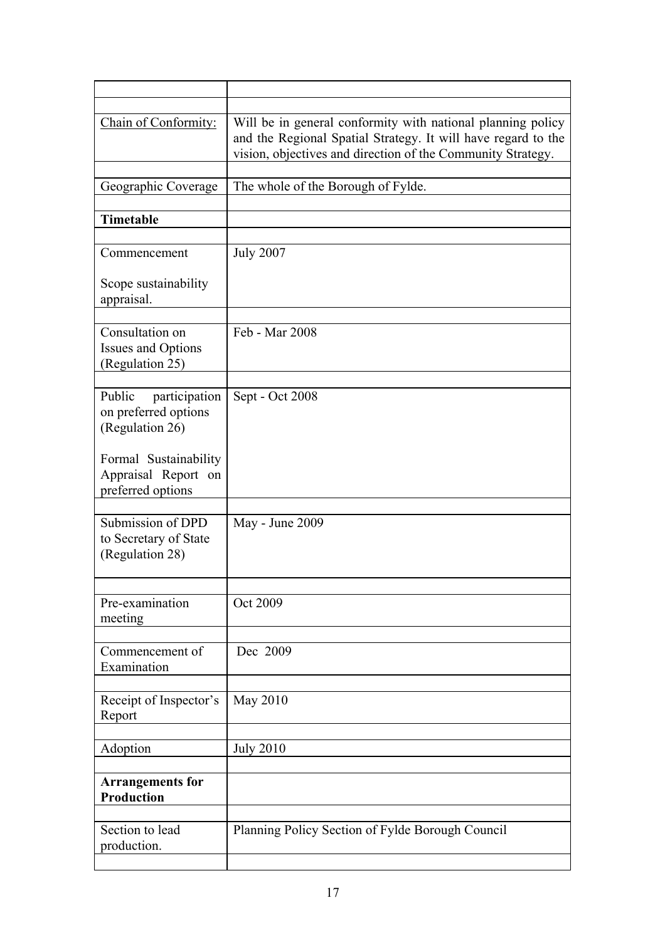| Chain of Conformity:                                               | Will be in general conformity with national planning policy<br>and the Regional Spatial Strategy. It will have regard to the<br>vision, objectives and direction of the Community Strategy. |
|--------------------------------------------------------------------|---------------------------------------------------------------------------------------------------------------------------------------------------------------------------------------------|
| Geographic Coverage                                                | The whole of the Borough of Fylde.                                                                                                                                                          |
| Timetable                                                          |                                                                                                                                                                                             |
| Commencement                                                       | <b>July 2007</b>                                                                                                                                                                            |
| Scope sustainability<br>appraisal.                                 |                                                                                                                                                                                             |
| Consultation on<br><b>Issues and Options</b><br>(Regulation 25)    | Feb - Mar 2008                                                                                                                                                                              |
| Public<br>participation<br>on preferred options<br>(Regulation 26) | Sept - Oct 2008                                                                                                                                                                             |
| Formal Sustainability<br>Appraisal Report on<br>preferred options  |                                                                                                                                                                                             |
| Submission of DPD<br>to Secretary of State<br>(Regulation 28)      | May - June 2009                                                                                                                                                                             |
| Pre-examination<br>meeting                                         | Oct 2009                                                                                                                                                                                    |
| Commencement of<br>Examination                                     | Dec 2009                                                                                                                                                                                    |
| Receipt of Inspector's<br>Report                                   | May 2010                                                                                                                                                                                    |
| Adoption                                                           | <b>July 2010</b>                                                                                                                                                                            |
| <b>Arrangements for</b><br>Production                              |                                                                                                                                                                                             |
| Section to lead<br>production.                                     | Planning Policy Section of Fylde Borough Council                                                                                                                                            |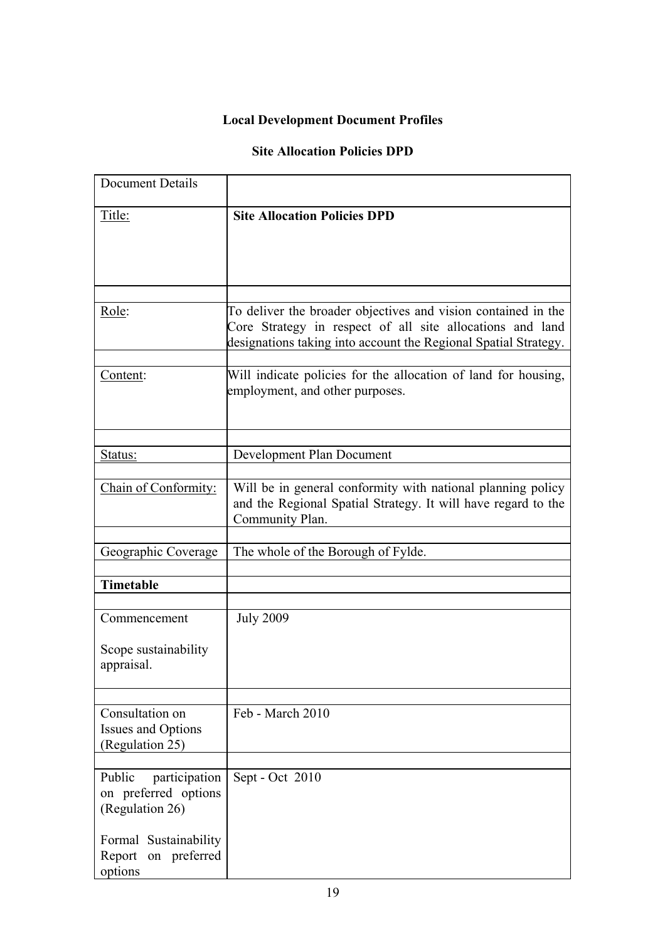# **Local Development Document Profiles**

## **Site Allocation Policies DPD**

| <b>Document Details</b>                                            |                                                                                                                                                                                               |
|--------------------------------------------------------------------|-----------------------------------------------------------------------------------------------------------------------------------------------------------------------------------------------|
| Title:                                                             | <b>Site Allocation Policies DPD</b>                                                                                                                                                           |
| Role:                                                              | To deliver the broader objectives and vision contained in the<br>Core Strategy in respect of all site allocations and land<br>designations taking into account the Regional Spatial Strategy. |
| Content:                                                           | Will indicate policies for the allocation of land for housing,<br>employment, and other purposes.                                                                                             |
| Status:                                                            | Development Plan Document                                                                                                                                                                     |
| Chain of Conformity:                                               | Will be in general conformity with national planning policy<br>and the Regional Spatial Strategy. It will have regard to the<br>Community Plan.                                               |
| Geographic Coverage                                                | The whole of the Borough of Fylde.                                                                                                                                                            |
| <b>Timetable</b>                                                   |                                                                                                                                                                                               |
| Commencement<br>Scope sustainability<br>appraisal.                 | <b>July 2009</b>                                                                                                                                                                              |
| Consultation on<br><b>Issues and Options</b><br>(Regulation 25)    | Feb - March 2010                                                                                                                                                                              |
| Public<br>participation<br>on preferred options<br>(Regulation 26) | Sept - Oct 2010                                                                                                                                                                               |
| Formal Sustainability<br>on preferred<br>Report<br>options         |                                                                                                                                                                                               |